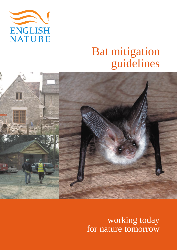

# Bat mitigation guidelines



working today for nature tomorrow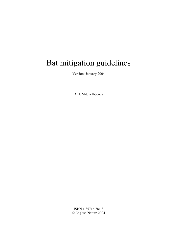## Bat mitigation guidelines

Version: January 2004

A. J. Mitchell-Jones

ISBN 1 85716 781 3 © English Nature 2004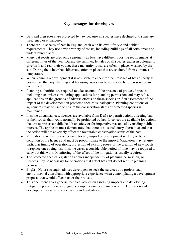#### **Key messages for developers**

- Bats and their roosts are protected by law because all species have declined and some are threatened or endangered.
- There are 16 species of bats in England, each with its own lifestyle and habitat requirements. They use a wide variety of roosts, including buildings of all sorts, trees and underground places.
- Many bat roosts are used only seasonally as bats have different roosting requirements at different times of the year. During the summer, females of all species gather in colonies to give birth and rear their young; these maternity roosts are often in places warmed by the sun. During the winter bats hibernate, often in places that are sheltered from extremes of temperature.
- When planning a development it is advisable to check for the presence of bats as early as possible so that any planning and licensing issues can be addressed before resources are committed.
- Planning authorities are required to take account of the presence of protected species, including bats, when considering applications for planning permission and may refuse applications on the grounds of adverse effects on these species or if an assessment of the impact of the development on protected species is inadequate. Planning conditions or agreements may be used to ensure the conservation status of protected species is maintained.
- In some circumstances, licences are available from Defra to permit actions affecting bats or their roosts that would normally be prohibited by law. Licences are available for actions that are to preserve public health or safety or for imperative reasons of overriding public interest. The applicant must demonstrate that there is no satisfactory alternative and that the action will not adversely affect the favourable conservation status of the bats.
- Mitigation to reduce or compensate for any impact of development is likely to be a condition of the licence and must be proportionate to the impact. Mitigation may require particular timing of operations, protection of existing roosts or the creation of new roosts to replace ones being lost. In some cases, a considerable period of time may be required to carry out this work. Monitoring of the effect of the mitigation is usually required.
- The protected species legislation applies independently of planning permission, so licences may be necessary for operations that affect bats but do not require planning permission.
- English Nature strongly advises developers to seek the services of a professional environmental consultant with appropriate experience when contemplating a development proposal that would affect bats or their roosts.
- This document gives generic technical advice on assessing impacts and developing mitigation plans. It does not give a comprehensive explanation of the legislation and developers may wish to seek their own legal advice.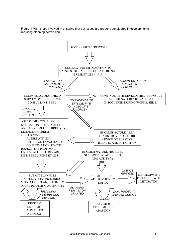Figure 1 Main steps involved in ensuring that bat issues are properly considered in developments requiring planning permission

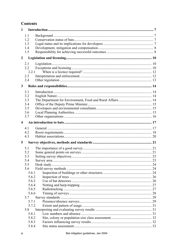## **Contents**

| $\mathbf{1}$            |            |    |
|-------------------------|------------|----|
|                         | 1.1        |    |
|                         | 1.2        |    |
|                         | 1.3        |    |
|                         | 1.4        |    |
|                         | 1.5        |    |
| $\overline{2}$          |            |    |
|                         | 2.1        |    |
|                         | 2.2        |    |
|                         | 2.2.1      |    |
|                         | 2.3        |    |
|                         | 2.4        |    |
| $\mathbf{3}$            |            |    |
|                         |            |    |
|                         | 3.1        |    |
|                         | 3.2        |    |
|                         | 3.3        |    |
|                         | 3.4<br>3.5 |    |
|                         | 3.6        |    |
|                         | 3.7        |    |
|                         |            |    |
| $\overline{\mathbf{4}}$ |            |    |
|                         | 4.1        |    |
|                         | 4.2        |    |
|                         | 4.3        |    |
| 5                       |            |    |
|                         | 5.1        |    |
|                         | 5.2        |    |
|                         | 5.3        |    |
|                         | 5.4        | 23 |
|                         | 5.5        |    |
|                         | 5.6        |    |
|                         | 5.6.1      |    |
|                         | 5.6.2      |    |
|                         | 5.6.3      |    |
|                         | 5.6.4      |    |
|                         | 5.6.5      |    |
|                         | 5.6.6      |    |
|                         | 5.7        |    |
|                         | 5.7.1      |    |
|                         | 5.7.2      |    |
|                         | 5.8        |    |
|                         | 5.8.1      |    |
|                         | 5.8.2      |    |
|                         | 5.8.3      |    |
|                         | 5.8.4      |    |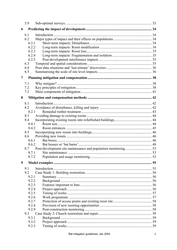|       | 5.9          |       |  |
|-------|--------------|-------|--|
| 6     |              |       |  |
|       | 6.1          |       |  |
|       | 6.2          |       |  |
| 6.2.1 |              |       |  |
| 6.2.2 |              |       |  |
|       | 6.2.3        |       |  |
|       | 6.2.4        |       |  |
|       | 6.2.5        |       |  |
|       | 6.3          |       |  |
|       | 6.4          |       |  |
|       | 6.5          |       |  |
| 7     |              |       |  |
|       | 7.1          |       |  |
|       | 7.2          |       |  |
|       | 7.3          |       |  |
| 8     |              |       |  |
|       | 8.1          |       |  |
|       | 8.2          |       |  |
|       | 8.2.1        |       |  |
|       | 8.3          |       |  |
|       | 8.4          |       |  |
|       | 8.4.1        |       |  |
|       | 8.4.2        |       |  |
|       | 8.5          |       |  |
|       | 8.6          |       |  |
|       | 8.6.1        |       |  |
|       | 8.6.2        |       |  |
|       | 8.7          |       |  |
|       |              | 8.7.1 |  |
|       | 8.7.2        |       |  |
| 9     |              |       |  |
|       | 9.1          |       |  |
|       | 9.2          |       |  |
|       | 9.2.1        |       |  |
|       | 9.2.2        |       |  |
|       | 9.2.3        |       |  |
|       | 9.2.4        |       |  |
|       | 9.2.5        |       |  |
|       | 9.2.6        |       |  |
|       | 9.2.7        |       |  |
|       | 9.2.8        |       |  |
|       | 9.2.9        |       |  |
|       | 9.3<br>9.3.1 |       |  |
|       | 9.3.2        |       |  |
|       | 9.3.3        |       |  |
|       |              |       |  |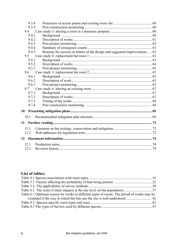| 9.3.4 |                                                                            |  |
|-------|----------------------------------------------------------------------------|--|
| 9.3.5 |                                                                            |  |
| 9.4   |                                                                            |  |
| 9.4.1 |                                                                            |  |
| 9.4.2 |                                                                            |  |
| 9.4.3 |                                                                            |  |
| 9.4.4 |                                                                            |  |
| 9.4.5 | Reasons for success or failure of the design and suggested improvements 63 |  |
| 9.5   |                                                                            |  |
| 9.5.1 |                                                                            |  |
| 9.5.2 |                                                                            |  |
| 9.5.3 |                                                                            |  |
| 9.6   |                                                                            |  |
| 9.6.1 |                                                                            |  |
| 9.6.2 |                                                                            |  |
| 9.6.3 |                                                                            |  |
| 9.7   |                                                                            |  |
| 9.7.1 |                                                                            |  |
| 9.7.2 |                                                                            |  |
| 9.7.3 |                                                                            |  |
| 9.7.4 |                                                                            |  |
|       |                                                                            |  |
| 10.1  |                                                                            |  |
| 11    |                                                                            |  |
| 11.1  |                                                                            |  |
| 11.2  |                                                                            |  |
| 12    |                                                                            |  |
| 12.1  |                                                                            |  |
| 12.2  |                                                                            |  |

## **List of tables:**

| Table 8.1 Optimum season for works in different types of roosts. The period of works may be |  |
|---------------------------------------------------------------------------------------------|--|
|                                                                                             |  |
|                                                                                             |  |
|                                                                                             |  |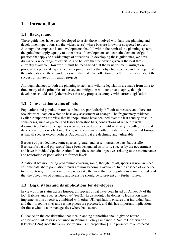## <span id="page-7-0"></span>**1 Introduction**

#### **1.1 Background**

These guidelines have been developed to assist those involved with land-use planning and development operations (in the widest sense) where bats are known or suspected to occur. Although the emphasis is on developments that fall within the remit of the planning system, the guidelines apply equally to other sorts of developments and contain elements of good practice that apply to a wide range of situations. In developing these guidelines, we have drawn on a wide range of expertise, and believe that the advice given is the best that is currently available. However, it must be recognised that the basis for many mitigation proposals is personal experience and opinion, rather than objective science, and we hope that the publication of these guidelines will stimulate the collection of better information about the success or failure of mitigation projects.

Although changes to both the planning system and wildlife legislation are made from time to time, many of the principles of survey and mitigation will continue to apply, though developers should satisfy themselves that any proposals comply with current legislation.

#### **1.2 Conservation status of bats**

Populations and population trends in bats are particularly difficult to measure and there are few historical data on which to base any assessment of change. The fragmentary evidence available supports the view that bat populations have declined over the last century or so. In some cases, such as greater and lesser horseshoe bats, contractions of range are well documented, but as other species were not even described until relatively recently, historical data on distribution is lacking. The general consensus, both in Britain and continental Europe is that all species except perhaps Daubenton's bat are declining and vulnerable.

Because of past declines, some species (greater and lesser horseshoe bats, barbastelle, Bechstein's bat and pipistrelle) have been designated as priority species by the government and have individual Species Action Plans; these contain objectives relating to the maintenance and restoration of populations to former levels.

A national bat monitoring programme covering some, though not all, species is now in place, so some data about population trends are now becoming available. In the absence of evidence to the contrary, the conservation agencies take the view that bat populations remain at risk and that the objectives of planning and licensing should be to prevent any further losses.

## **1.3 Legal status and its implications for developers**

In view of their status across Europe, all species of bat have been listed on Annex IV of the EC 'Habitats and Species Directive' (see 2.1 Legislation). The domestic legislation which implements this directive, combined with other UK legislation, ensures that individual bats and their breeding sites and resting places are protected, and this has important implications for those who own or manage sites where bats occur.

Guidance on the consideration that local planning authorities should give to nature conservation interests is contained in Planning Policy Guidance 9: Nature Conservation (October 1994) [note that a revised version is in preparation]. The presence of a protected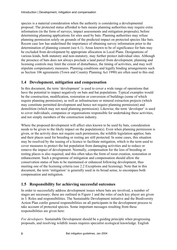<span id="page-8-0"></span>species is a material consideration when the authority is considering a developmental proposal. The protected status afforded to bats means planning authorities may require extra information (in the form of surveys, impact assessments and mitigation proposals), before determining planning applications for sites used by bats. Planning authorities may refuse planning permission solely on grounds of the predicted impact on protected species like bats. Recent case law has underlined the importance of obtaining survey information prior to the determination of planning consent (see 6.1). Areas known to be of significance for bats may be excluded from development by appropriate allocation in Local Plans. Designations of various kinds, both statutory and non-statutory, may further protect individual sites. Although the presence of bats does not always preclude a land parcel from development, planning and licensing controls may limit the extent of disturbance, the timing of activities, and may well stipulate compensatory measures. Planning conditions and legally binding arrangements such as Section 106 agreements (Town and Country Planning Act 1990) are often used to this end.

#### **1.4 Development, mitigation and compensation**

In this document, the term 'development' is used to cover a wide range of operations that have the potential to impact negatively on bats and bat populations. Typical examples would be the construction, modification, restoration or conversion of buildings (some of which require planning permission), as well as infrastructure or mineral extraction projects (which may constitute permitted development and hence not require planning permission) and demolition (which may not need planning permission). Likewise, the term 'developer' is used to cover individuals, companies or organisations responsible for undertaking these activities, and not simply members of the construction industry.

Where the proposed development will affect sites known to be used by bats, consideration needs to be given to the likely impact on the population(s). Even when planning permission is given, or the activity does not require such permission, the wildlife legislation applies; bats and their places used for breeding or resting are still protected. In some cases, this situation may be resolved by the issuing of a licence to facilitate mitigation, which is the term used to cover measures to protect the bat population from damaging activities and to reduce or remove the impact of development. Normally, compensation for the loss of breeding or resting places is also required, and this often takes the form of roost creation, restoration or enhancement. Such a programme of mitigation and compensation should allow the conservation status of bats to be maintained or enhanced following development, thus meeting one of the licensing criteria (see 2.2 Exceptions and licensing). Note that in this document, the term 'mitigation' is generally used in its broad sense, to encompass both compensation and mitigation.

## **1.5 Responsibility for achieving successful outcomes**

In order to successfully address development issues where bats are involved, a number of stages are necessary; these are outlined in Figure 1 and the roles of each key player are given in 3. Roles and responsibilities. The Sustainable Development initiative and the Biodiversity Action Plan confer general responsibilities on all participants in the development process to take account of protected species. Some important messages resulting from these responsibilities are given here:

*For developers:* Sustainable Development should be a guiding principle when progressing proposals, and resolving wildlife issues requires specialist ecological knowledge. English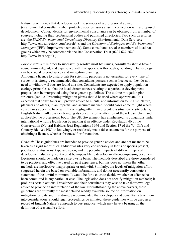Nature recommends that developers seek the services of a professional advisor (environmental consultant) when protected species issues arise in connection with a proposed development. Contact details for environmental consultants can be obtained from a number of sources, including their professional bodies and published directories. Two such directories are: the *ENDS Environmental Consultancy Directory* (Environmental Data Services; http://www.endsdirectory.com/search/ ), and the *Directory of Ecologists and Environmental Managers* (IEEM http://www.ieem.co.uk). Some consultants are also members of local bat groups which may be contacted via the Bat Conservation Trust (0207 627 2629; http://www.bats.org.uk ).

*For consultants:* In order to successfully resolve most bat issues, consultants should have a sound knowledge of, and experience with, the species. A thorough grounding in bat ecology can be crucial to good survey and mitigation planning.

Although a licence to disturb bats for scientific purposes is not essential for every type of survey, it is strongly recommended that consultants possess such as licence so they do not need to withdraw if bats are found at a site. Consultants are expected to apply population ecology principles so that the local circumstances relating to a particular development proposal can be interpreted using these generic guidelines. The outline mitigation plan structure (see 10. Presenting mitigation plans) should be used where appropriate. It is expected that consultants will provide advice to clients, and information to English Nature, planners and others, in an impartial and accurate manner. Should cases come to light where consultants appear to have wilfully or negligently misrepresented a situation or site details, English Nature will consider bringing its concerns to the attention of the relevant client and, if applicable, the professional body. The UK Government has emphasised its obligations under international wildlife legislation by making it an offence under Regulation 46 of the Conservation (Natural Habitats &c.) Regulations 1994 and Section 17 of the Wildlife and Countryside Act 1981 to knowingly or recklessly make false statements for the purpose of obtaining a licence, whether for oneself or for another.

*General:* These guidelines are intended to provide generic advice and are not meant to be taken as a rigid set of rules. Individual sites vary considerably in terms of species present, population status, roost type and so on, and the potential impacts of different types of development also vary, so it would be impossible to develop an all-encompassing document. Decisions should be made on a site-by-site basis. The methods described are those considered to be practical and effective based on past experience, but this does not mean that other methods are ineffective, inappropriate or unlawful. Similarly, the levels of mitigation effort suggested herein are based on available information, and do not necessarily constitute a statement of the lawful minimum. It would be for a court to decide whether an offence has been committed in any particular case. The legislation does not specify mitigation methods; it prohibits certain actions. Developers and their consultants may wish to take their own legal advice to provide an interpretation of the law. Notwithstanding the above caveats, these guidelines are currently the most detailed readily available source of information on mitigation for bats and it is strongly recommended that developers and consultants take them into consideration. Should legal proceedings be initiated, these guidelines will be used as a record of English Nature's approach to best practice, which may have a bearing on the definition of reasonable effort.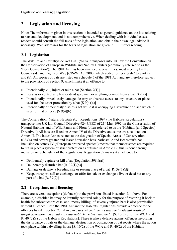## **2 Legislation and licensing**

Note: The information given in this section is intended as general guidance on the law relating to bats and development, and is not comprehensive. When dealing with individual cases, readers should consult the full texts of the legislation, and obtain their own legal advice if necessary. Web addresses for the texts of legislation are given in 11. Further reading.

## **2.1 Legislation**

The Wildlife and Countryside Act 1981 (WCA) transposes into UK law the Convention on the Conservation of European Wildlife and Natural Habitats (commonly referred to as the 'Bern Convention'). The 1981 Act has been amended several times, most recently by the Countryside and Rights of Way [CRoW] Act 2000, which added 'or recklessly' to S9(4)(a) and (b). All species of bats are listed on Schedule 5 of the 1981 Act, and are therefore subject to the provisions of Section 9, which make it an offence to:

- Intentionally kill, injure or take a bat [Section 9(1)]
- Possess or control any live or dead specimen or anything derived from a bat [S 9(2)]
- Intentionally or recklessly damage, destroy or obstruct access to any structure or place used for shelter or protection by a bat  $[S 9(4)(a)]$
- Intentionally or recklessly disturb a bat while it is occupying a structure or place which it uses for that purpose  $[S 9(4)(b)]$

The Conservation (Natural Habitats &c.) Regulations 1994 (the Habitats Regulations) transpose into UK law Council Directive  $92/43/EEC$  of  $21<sup>st</sup>$  May 1992 on the Conservation of Natural Habitats and of Wild Fauna and Flora (often referred to as the 'Habitats [and Species] Directive.') All bats are listed on Annex IV of the Directive and some are also listed on Annex II. The latter Annex relates to the designation of Special Areas of Conservation (SACs) and covers greater and lesser horseshoe bats, barbastelle and Bechstein's bat. Inclusion on Annex IV ('European protected species') means that member states are required to put in place a system of strict protection as outlined in Article 12; this is done through inclusion on Schedule 2 of the Regulations. Regulation 39 makes it an offence to:

- Deliberately capture or kill a bat [Regulation 39(1)(a)]
- Deliberately disturb a bat  $[R. 39(1)(b)]$
- Damage or destroy a breeding site or resting place of a bat  $[R. 39(1)(d)]$
- Keep, transport, sell or exchange, or offer for sale or exchange a live or dead bat or any part of a bat  $[R. 39(2)]$

## **2.2 Exceptions and licensing**

There are several exceptions (defences) to the provisions listed in section 2.1 above. For example, a disabled bat may be lawfully captured solely for the purpose of restoring it back to health for subsequent release, and 'mercy killing' of severely injured bats is also permissible without a licence. Both the 1981 Act and the Habitats Regulations provide a defence to the offences listed in section 2.1 above in cases where "*the act was the incidental result of a lawful operation and could not reasonably have been avoided*." [S. 10(3)(c) of the WCA and R. 40 (3)(c) of the Habitats Regulations]. There is also a defence against offences involving the disturbance of bats or the damage, destruction or obstruction of bat roosts where the action took place within a dwelling-house [S. 10(2) of the WCA and R. 40(2) of the Habitats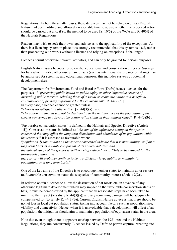Regulations]. In both these latter cases, these defences may not be relied on unless English Nature had been notified and allowed a reasonable time to advise whether the proposed action should be carried out and, if so, the method to be used [S. 10(5) of the WCA and R. 40(4) of the Habitats Regulations].

Readers may wish to seek their own legal advice as to the applicability of the exceptions. As there is a licensing system in place, it is strongly recommended that this system is used, rather than proceeding with works without a licence and relying on exceptions if challenged.

Licences permit otherwise unlawful activities, and can only be granted for certain purposes.

English Nature issues licences for scientific, educational and conservation purposes. Surveys for bats which involve otherwise unlawful acts (such as intentional disturbance or taking) may be authorised for scientific and educational purposes; this includes surveys of potential development sites.

The Department for Environment, Food and Rural Affairs (Defra) issues licences for the purposes of "*preserving public health or public safety or other imperative reasons of overriding public interest including those of a social or economic nature and beneficial consequences of primary importance for the environment*" [R. 44(2)(e)]. In every case, a licence cannot be granted unless:

"*There is no satisfactory alternative*" [R. 44(3)(a)], and

"*The action authorised will not be detrimental to the maintenance of the population of the species concerned at a favourable conservation status in their natural range*" [R. 44(3)(b)].

'Favourable conservation status' is defined in the Habitats and Species Directive (Article 1(i)). Conservation status is defined as "*the sum of the influences acting on the species concerned that may affect the long term distribution and abundance of its population within the territory*." It is assessed as favourable when:

"*population dynamics data on the species concerned indicate that it is maintaining itself on a long term basis as a viable component of its natural habitats, and* 

*the natural range of the species is neither being reduced nor is likely to be reduced for the foreseeable future, and* 

*there is, or will probably continue to be, a sufficiently large habitat to maintain its populations on a long term basis.*"

One of the key aims of the Directive is to encourage member states to maintain at, or restore to, favourable conservation status those species of community interest (Article 2(2)).

In order to obtain a licence to allow the destruction of bat roosts etc, in advance of any otherwise legitimate development which may impact on the favourable conservation status of bats, it must be demonstrated by the applicant that all reasonable steps have been taken to minimise the impact (to satisfy R.  $44(3)(a)$ ) and any remaining damage will be adequately compensated for (to satisfy R. 44(3)(b)). Current English Nature advice is that there should be no net loss in local bat population status, taking into account factors such as population size, viability and connectivity. Hence, when it is unavoidable that a development will affect a bat population, the mitigation should aim to maintain a population of equivalent status in the area.

Note that even though there is apparent overlap between the 1981 Act and the Habitats Regulations, they run concurrently. Licences issued by Defra to permit capture, breeding site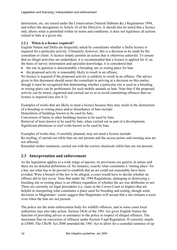destruction, etc. are issued under the Conservation (Natural Habitats &c.) Regulations 1994, and reflect the derogations in Article 16 of the Directive. It should also be noted that a licence only allows what is permitted within its terms and conditions; it does not legitimise all actions related to bats at a given site.

#### **2.2.1 When is a licence required?**

English Nature and Defra are frequently asked by consultants whether a Defra licence is required for a particular activity. Ultimately, however, this is a decision to be made by the consultant or client. A licence simply permits an action that is otherwise unlawful. To ensure that no illegal activities are undertaken, it is recommended that a licence is applied for if, on the basis of survey information and specialist knowledge, it is considered that:

- the site in question is demonstrably a breeding site or resting place for bats
- the proposed activity is reasonably likely to result in an offence.

No licence is required if the proposed activity is unlikely to result in an offence. The advice given in this document should assist the consultant in arriving at a decision on this matter, though it must be recognised that determining whether a particular site is used as a breeding or resting place can be problematic for such mobile animals as bats. Note that if the proposed activity can be timed, organised and carried out so as to avoid committing offences then no licence is required (see also 8.3).

Examples of works that are likely to need a licence because they may result in the destruction of a breeding or resting place and/or disturbance of bats include:

Demolition of buildings known to be used by bats;

Conversion of barns or other buildings known to be used by bats;

Removal of trees known to be used by bats, when carried out as part of a development; Significant alterations to roof voids known to be used by bats.

Examples of works that, if carefully planned, may not need a licence include:

Re-roofing, if carried out while bats are not present and the access points and roosting area are not affected;

Remedial timber treatment, carried out with the correct chemicals while bats are not present.

#### **2.3 Interpretation and enforcement**

As the legislation applies to a wide range of species, its provisions are generic in nature and there are no detailed definitions of, for instance, exactly what constitutes a 'resting place' for a bat, nor what has to be proved to establish that an act could not reasonably have been avoided. Were a breach of the law to be alleged, a court would have to decide whether an offence did in fact occur. Note that under the 1994 Regulations, damaging or destroying a breeding site or resting place is an offence regardless of whether the act was deliberate or not. There are currently no legal precedents (i.e. cases in the Crown Court or higher) that are helpful in interpreting what constitutes a place used for breeding and resting, though some decisions in Magistrates' courts suggest that Magistrates will accept that a site remains a roost even when the bats are not present.

The police are the main enforcement body for wildlife offences, and in some cases local authorities may also take action. Section 24(4) of the 1981 Act gives English Nature the function of providing advice or assistance to the police in respect of alleged offences. The maximum fine on conviction of offences under Section 9 and Regulation 39 currently stands at £5000. The CRoW Act 2000 amended the 1981 Act to allow for a custodial sentence of up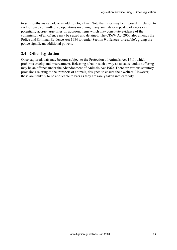to six months instead of, or in addition to, a fine. Note that fines may be imposed in relation to each offence committed, so operations involving many animals or repeated offences can potentially accrue large fines. In addition, items which may constitute evidence of the commission of an offence may be seized and detained. The CRoW Act 2000 also amends the Police and Criminal Evidence Act 1984 to render Section 9 offences 'arrestable', giving the police significant additional powers.

## **2.4 Other legislation**

Once captured, bats may become subject to the Protection of Animals Act 1911, which prohibits cruelty and mistreatment. Releasing a bat in such a way as to cause undue suffering may be an offence under the Abandonment of Animals Act 1960. There are various statutory provisions relating to the transport of animals, designed to ensure their welfare. However, these are unlikely to be applicable to bats as they are rarely taken into captivity.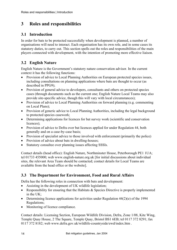## **3 Roles and responsibilities**

## **3.1 Introduction**

In order for bats to be protected successfully when development is planned, a number of organisations will need to interact. Each organisation has its own role, and in some cases its statutory duties, to carry out. This section spells out the roles and responsibilities of the main players connected with development, with the intention of promoting more effective liaison.

## **3.2 English Nature**

English Nature is the Government's statutory nature conservation advisor. In the current context it has the following functions:

- Provision of advice to Local Planning Authorities on European protected species issues, including consultations on planning applications where bats are thought to occur (as described in PPG9);
- Provision of general advice to developers, consultants and others on protected species cases (through documents such as the current one; English Nature Local Teams may also provide site-specific advice, though this will vary with local circumstances);
- Provision of advice to Local Planning Authorities on forward planning (e.g. commenting on Local Plans);
- Provision of generic advice to Local Planning Authorities, including the legal background to protected species casework;
- Determining applications for licences for bat survey work (scientific and conservation licences);
- Provision of advice to Defra over bat licences applied for under Regulation 44, both generally and on a case-by-case basis;
- Provision of specialist advice to those involved with enforcement (primarily the police)
- Provision of advice about bats in dwelling-houses;
- Statutory consultee over planning issues affecting SSSIs.

Contact details (head office): English Nature, Northminster House, Peterborough PE1 1UA; tel 01733 455000; web www.english-nature.org.uk [for initial discussions about individual sites, the relevant Area Team should be contacted; contact details for Local Teams are available from the head office or the website].

## **3.3 The Department for Environment, Food and Rural Affairs**

Defra has the following roles in connection with bats and development:

- Assisting in the development of UK wildlife legislation;
- Responsibility for ensuring that the Habitats & Species Directive is properly implemented in the  $UK<sup>+</sup>$
- Determining licence applications for activities under Regulation 44(2)(e) of the 1994 Regulations;
- Monitoring of licence compliance.

Contact details: Licensing Section, European Wildlife Division, Defra, Zone 1/08, Kite Wing, Temple Quay House, 2 The Square, Temple Quay, Bristol BS1 6EB; tel 0117 372 8291; fax 0117 372 8182; web www.defra.gov.uk/wildlife-countryside/ewd/index.htm .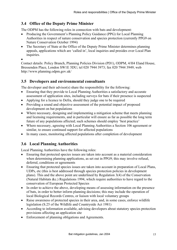## **3.4 Office of the Deputy Prime Minister**

The ODPM has the following roles in connection with bats and development:

- Producing the Government's Planning Policy Guidance (PPG) for Local Planning Authorities in respect of nature conservation and species protection (currently PPG9 on Nature Conservation October 1994)
- The Secretary of State at the Office of the Deputy Prime Minister determines planning appeals, applications which are 'called in', local inquiries and presides over Local Plan inquiries.

•

Contact details: Policy Branch, Planning Policies Division (PD1), ODPM, 4/H4 Eland House, Bressenden Place, London SW1E 5DU; tel 020 7944 3973; fax 020 7944 3949; web http://www.planning.odpm.gov.uk/

#### **3.5 Developers and environmental consultants**

The developer and their advisor(s) share the responsibility for the following:

- Ensuring that they provide to Local Planning Authorities a satisfactory and accurate assessment of application sites, including surveys for bats if their presence is suspected
- Applying for a licence to Defra, should they judge one to be required
- Providing a sound and objective assessment of the potential impact of proposed development on bat populations
- Where necessary, designing and implementing a mitigation scheme that meets planning and licensing requirements, and in particular will ensure as far as possible the long term future of any populations affected; such schemes should employ 'best practice'
- Where necessary, agreeing with Local Planning Authorities a Section 106 agreement or similar, to ensure continued support for affected populations
- In many cases, monitoring affected populations after completion of development

#### **3.6 Local Planning Authorities**

Local Planning Authorities have the following roles:

- Ensuring that protected species issues are taken into account as a material consideration when determining planning applications, as set out in PPG9; this may involve refusal, deferral, conditions or agreements
- Ensuring that protected species issues are taken into account in preparation of Local Plans, UDPs, etc (this is best addressed through species protection policies in development plans). This and the above point are underlined by Regulation 3(4) of the Conservation (Natural Habitats &c.) Regulations 1994, which require authorities to have regard to the conservation of European Protected Species
- In order to achieve the above, developing means of assessing information on the presence of bats, in order to better inform planning decisions; this may include the operation of local Biological Records Centres, or liaison with local voluntary groups
- Raise awareness of protected species in their area, and, in some cases, enforce wildlife legislation (S.25 of the Wildlife and Countryside Act 1981)
- According to information available, advising developers about statutory species protection provisions affecting an application site
- Enforcement of planning obligations and Agreements.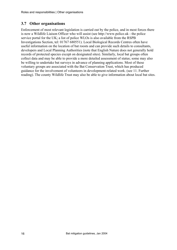#### **3.7 Other organisations**

Enforcement of most relevant legislation is carried out by the police, and in most forces there is now a Wildlife Liaison Officer who will assist (see http://www.police.uk - the police service portal for the UK; a list of police WLOs is also available from the RSPB Investigations Section, tel: 01767 680551). Local Biological Records Centres often have useful information on the location of bat roosts and can provide such details to consultants, developers and Local Planning Authorities (note that English Nature does not generally hold records of protected species except on designated sites). Similarly, local bat groups often collect data and may be able to provide a more detailed assessment of status; some may also be willing to undertake bat surveys in advance of planning applications. Most of these voluntary groups are associated with the Bat Conservation Trust, which has produced guidance for the involvement of volunteers in development-related work. (see 11. Further reading). The county Wildlife Trust may also be able to give information about local bat sites.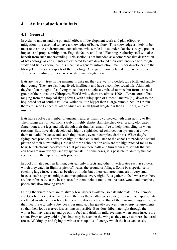## **4 An introduction to bats**

#### **4.1 General**

In order to understand the potential effects of development work and plan effective mitigation, it is essential to have a knowledge of bat ecology. This knowledge is likely to be most relevant to environmental consultants, whose role it is to undertake site surveys, predict impacts and propose mitigation. English Nature and Local Planning Authority staff will also benefit from such understanding. This section is not intended as a comprehensive description of bat ecology, as consultants are expected to have developed their own knowledge through study and field experience. It is meant as a general introduction, mainly for developers, to the life-cycle of bats and aspects of their biology. A range of more detailed references is given in 11. Further reading for those who wish to investigate more.

Bats are the only true flying mammals. Like us, they are warm-blooded, give birth and suckle their young. They are also long-lived, intelligent and have a complex social life. Although they're often thought of as flying mice, they're not closely related to mice but form a special group of their own: the Chiroptera. World-wide, there are almost 1000 different sorts of bat, ranging from the tropical flying foxes, with a wing-span of almost 2 metres (6'), down to the hog-nosed bat of south-east Asia, which is little bigger than a large bumble-bee. In Britain there are 16 or 17 species, all of which are small (most weigh less than a £1 coin) and eat insects.

Bats have evolved a number of unusual features, mainly connected with their ability to fly. Their wings are formed from a web of highly elastic skin stretched over greatly elongated finger bones, the legs and tail, though their thumbs remain free to help them cling on when roosting. Bats have also developed a highly sophisticated echolocation system that allows them to avoid obstacles and catch tiny insects, even in complete darkness. When they're flying, bats produce a stream of high-pitched calls and listen to the echoes to produce a sound picture of their surroundings. Most of these echolocation calls are too high pitched for us to hear, but electronic bat-detectors that pick up these calls and turn them into sounds that we can hear are now widely used by specialists. In some cases, it is possible to identify the bat species from the type of sounds produced.

In cool climates such as Britain, bats eat only insects and other invertebrates such as spiders, which they catch in flight or pick off water, the ground or foliage. Some bats specialise in catching large insects such as beetles or moths but others eat large numbers of very small insects, such as gnats, midges and mosquitoes, every night. Bats gather to feed wherever there are lots of insects, so the best places for them include traditional pasture, woodland, marshes, ponds and slow moving rivers.

During the winter there are relatively few insects available, so bats hibernate. In September and October they put on weight and then, as the weather gets colder, they seek out appropriate sheltered roosts, let their body temperature drop to close to that of their surroundings and slow their heart rate to only a few beats per minute. This greatly reduces their energy requirements so that their food reserves last as long as possible. Bats don't hibernate right through the winter but may wake up and go out to feed and drink on mild evenings when some insects are about. Even on very cold nights, bats may be seen on the wing as they move to more sheltered roosts. Waking up and flying in winter uses up lots of energy which the bats can't easily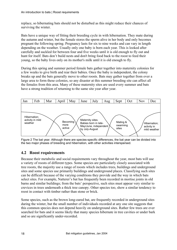replace, so hibernating bats should not be disturbed as this might reduce their chances of surviving the winter.

Bats have a unique way of fitting their breeding cycle in with hibernation. They mate during the autumn and winter, but the female stores the sperm alive in her body and only becomes pregnant the following spring. Pregnancy lasts for six to nine weeks and can vary in length depending on the weather. Usually only one baby is born each year. This is looked after carefully and suckled for between four and five weeks until it is old enough to fly out and hunt for itself. Bats don't build nests and don't bring food back to the roost to feed their young, so the baby lives only on its mother's milk until it is old enough to fly.

During this spring and summer period female bats gather together into maternity colonies for a few weeks to give birth and rear their babies. Once the baby is independent, the colony breaks up and the bats generally move to other roosts. Bats may gather together from over a large area to form these colonies, so any disaster at this summer breeding site can affect all the females from this area. Many of these maternity sites are used every summer and bats have a strong tradition of returning to the same site year after year.



Figure 2 The bat year. Although there are species-specific differences, the bat year can be divided into the two major phases of breeding and hibernation, with other activities interspersed.

## **4.2 Roost requirements**

Because their metabolic and social requirements vary throughout the year, most bats will use a variety of roosts of different types. Some species are particularly closely associated with tree roosts, the majority use a range of roosts which includes trees, buildings and underground sites and some species use primarily buildings and underground places. Classifying such sites can be difficult because of the varying conditions they provide and the way in which bats select sites. For example, Natterer's bat has frequently been recorded in mortise joints in old barns and similar buildings; from the bats' perspective, such sites must appear very similar to crevices in trees underneath a thick tree canopy. Other species too, show a similar tendency to roost in contact with timber rather than stone or brick.

Some species, such as the brown long-eared bat, are frequently recorded in underground sites during the winter, but the small number of individuals recorded at any one site suggests that this common species does not depend heavily on underground sites. Rather few trees are ever searched for bats and it seems likely that many species hibernate in tree cavities or under bark and so are significantly under-recorded.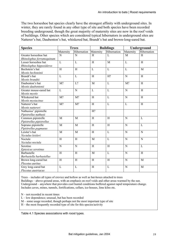The two horseshoe bat species clearly have the strongest affinity with underground sites. In winter, they are rarely found in any other type of site and both species have been recorded breeding underground, though the great majority of maternity sites are now in the roof voids of buildings. Other species which are considered typical hibernators in underground sites are Natterer's bat, Daubenton's bat, whiskered bat, Brandt's bat and brown-long-eared bat.

| <b>Species</b>            | <b>Trees</b>   |                | <b>Buildings</b>          |                | Underground    |                |
|---------------------------|----------------|----------------|---------------------------|----------------|----------------|----------------|
|                           | Maternity      | Hibernation    | Maternity                 | Hibernation    | Maternity      | Hibernation    |
| Greater horseshoe bat     | N              | N              | H                         | L              | M              | H              |
| Rhinolophus ferrumequinum |                |                |                           |                |                |                |
| Lesser horseshoe bat      | $\overline{L}$ | L              | $\overline{H}$            | M              | $\overline{L}$ | H              |
| Rhinolophus hipposideros  |                |                |                           |                |                |                |
| Bechstein's bat           | $\overline{H}$ | $\overline{H}$ | $\overline{L}$            | $\overline{L}$ | $\overline{L}$ | $\mathbf{M}$   |
| Myotis bechsteinii        |                |                |                           |                |                |                |
| Brandt's bat              | L              | $\mathbf{L}$   | $\boldsymbol{\mathrm{H}}$ | H?             | $\overline{N}$ | H              |
| Myotis brandtii           |                |                |                           |                |                |                |
| Daubenton's bat           | M?             | L?             | M                         | $\mathbf L$    | M?             | H              |
| Myotis daubentonii        |                |                |                           |                |                |                |
| Greater mouse-eared bat   | $\mathbf L$    | $\mathbf N$    | L                         | $\mathbf{L}$   | N              | H              |
| Myotis myotis             |                |                |                           |                |                |                |
| Whiskered bat             | M?             | M?             | H                         | $\mathbf{L}$   | $\mathbf N$    | H              |
| Myotis mystacinus         |                |                |                           |                |                |                |
| Natterer's bat            | M?             | M?             | H                         | $\mathbf{L}$   | L              | H              |
| Myotis nattereri          |                |                |                           |                |                |                |
| Nathusius' pipistrelle    |                |                | H?                        |                |                |                |
| Pipistrellus nathusii     |                |                |                           |                |                |                |
| Common pipistrelle        | M              | M              | H                         | H              | N              | L              |
| Pipistrellus pipistrellus |                |                |                           |                |                |                |
| Soprano pipistrelle       | M              | $\overline{M}$ | $\overline{H}$            | $\overline{H}$ | $\overline{N}$ | $\mathbf{L}$   |
| Pipistrellus pygmaeus     |                |                |                           |                |                |                |
| Leisler's bat             | $\overline{M}$ | $\overline{M}$ | $\overline{H}$            | $\overline{L}$ | $\overline{N}$ | $\overline{N}$ |
| Nyctalus leisleri         |                |                |                           |                |                |                |
| Noctule                   | $\overline{H}$ | H              | M                         | $\overline{L}$ | $\mathbf N$    | $\mathbf N$    |
| Nyctalus noctula          |                |                |                           |                |                |                |
| Serotine                  | $\overline{N}$ | $\overline{N}$ | $\overline{H}$            | $\overline{H}$ | $\overline{N}$ | $\overline{L}$ |
| Eptesicus serotinus       |                |                |                           |                |                |                |
| Barbastelle               | $\overline{H}$ | $\overline{H}$ | M                         | $\overline{L}$ | $\overline{N}$ | $\overline{H}$ |
| Barbastella barbastellus  |                |                |                           |                |                |                |
| Brown long-eared bat      | $\overline{H}$ | $\overline{H}$ | $\overline{H}$            | $\overline{H}$ | $\overline{N}$ | $\overline{M}$ |
| Plecotus auritus          |                |                |                           |                |                |                |
| Grey long-eared bat       | $\mathbf L$    | L              | H                         | $\mathbf{L}$   | $\mathbf N$    | M              |
| Plecotus austriacus       |                |                |                           |                |                |                |

Trees – includes all types of crevice and hollow as well as bat-boxes attached to trees Buildings – above-ground areas, with an emphasis on roof voids and other areas warmed by the sun. Underground – anywhere that provides cool humid conditions buffered against rapid temperature change. Includes caves, mines, tunnels, fortifications, cellars, ice-houses, lime kilns etc.

N – not recorded in recent times

L – low dependence; unusual, but has been recorded

M – some usage recorded, though perhaps not the most important type of site

H – the most frequently recorded type of site for this species/activity

Table 4.1 Species associations with roost types.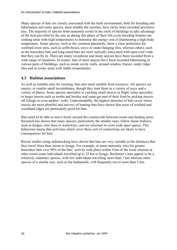Many species of bats are closely associated with the built environment, both for breeding and hibernation and some species, most notably the serotine, have rarely been recorded anywhere else. The majority of species form maternity roosts in the roofs of buildings to take advantage of the heat provided by the sun, as during this phase of their life-cycle breeding females are seeking areas with high temperatures to minimise the energy cost of maintaining a high body temperature. Some species, such as the common pipistrelle, show a clear preference for confined roost sites, such as soffit-boxes, eaves or under hanging tiles, whereas others, such as the horseshoe bats and long-eared bats are more typically associated with open roof voids that they can fly in. There are many exceptions and many species have been recorded from a wide range of situations. In winter, bats of most species have been recorded hibernating in various parts of buildings, such as inside cavity walls, around window frames, under ridgetiles and in cooler areas with stable temperatures.

#### **4.3 Habitat associations**

As well as suitable sites for roosting, bats also need suitable food resources. All species eat insects, or similar small invertebrates, though they hunt them in a variety of ways and a variety of places. Some species specialise in catching small insects in flight, some specialise in larger insects such as moths and beetles and some get part of their food by picking insects off foliage or even spiders' webs. Understandably, the highest densities of bats occur where insects are most plentiful and surveys of hunting bats have shown that areas of wetland and woodland edges are particularly good for bats.

Bats need to be able to move freely around the countryside between roosts and feeding areas. Research has shown that many species, particularly the smaller ones, follow linear features, such as hedges, tree-lines or waterways, and are reluctant to cross wide open spaces. This behaviour means that activities which sever these sort of connections are likely to have consequences for bats.

Recent studies using radiotracking have shown that bats are very variable in the distances that they travel from their roosts to forage. For example, at some maternity sites for greater horseshoe bats over 90% of the bats' activity took place within 4 km of the roost whereas at other roosts some individuals travelled up to 22 km to forage. Bechstein's bats appear to be a relatively sedentary species, with few individuals travelling more than 1 km whereas other species of a similar size, such as the barbastelle, will frequently travel more than 5 km.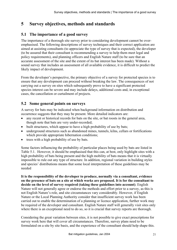## **5 Survey objectives, methods and standards**

## **5.1 The importance of a good survey**

The importance of a thorough site survey prior to considering development cannot be overemphasised. The following descriptions of survey techniques and their correct application are aimed at assisting consultants (to appreciate the type of survey that is expected), the developer (to be assured that their consultant is recommending a survey to help them meet legal and policy requirements), and planning officers and English Nature staff (to be sure that an accurate assessment of the site and the extent of its bat interest has been made). Without a sound survey that includes an assessment of all available evidence, it is difficult to predict the likely impact of development.

From the developer's perspective, the primary objective of a survey for protected species is to ensure that any development can proceed without breaking the law. The consequences of not carrying out a survey on sites which subsequently prove to have a significant protected species interest can be severe and may include delays, additional costs and, in exceptional cases, the cancellation or curtailment of projects.

## **5.2 Some general points on surveys**

A survey for bats may be indicated when background information on distribution and occurrence suggests that they may be present. More detailed indicators are:

- any recent or historical records for bats on the site, or bat roosts in the general area, though note that bats are very under-recorded;
- built structures, which appear to have a high probability of use by bats;
- underground structures such as abandoned mines, tunnels, kilns, cellars or fortifications which provide appropriate hibernation conditions;
- trees with a high probability of use by bats.

Some factors influencing the probability of particular places being used by bats are listed in Table 5.1. However, it should be emphasised that this can, at best, only highlight sites with a high probability of bats being present and the high mobility of bats means that it is virtually impossible to rule out any type of structure. In addition, regional variation in building styles and species' distributions means that some local interpretation of these guidelines may be needed

**It is the responsibility of the developer to produce, normally via a consultant, evidence on the presence of bats on a site at which works are proposed. It is for the consultant to decide on the level of survey required (taking these guidelines into account)**. English Nature will not generally agree or endorse the methods and effort prior to a survey, as this is not English Nature's role, and site circumstances vary considerably. However, if English Nature or the Local Planning Authority consider that insufficient survey work has been carried out to enable the determination of a planning or licence application, further work may be required of the developer and consultant. English Nature staff will generally visit sites only where there is an exceptional need to do so, so it is crucial that survey reports are thorough.

Considering the great variation between sites, it is not possible to give exact prescriptions for survey work here that will cover all circumstances. Therefore, survey plans need to be formulated on a site by site basis, and the experience of the consultant should help shape this.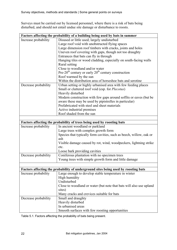Surveys must be carried out by licensed personnel, where there is a risk of bats being disturbed, and should not entail undue site damage or disturbance to roosts.

| Factors affecting the probability of a building being used by bats in summer |                                                                                    |  |  |  |  |
|------------------------------------------------------------------------------|------------------------------------------------------------------------------------|--|--|--|--|
| Increase probability                                                         | Disused or little used; largely undisturbed                                        |  |  |  |  |
|                                                                              | Large roof void with unobstructed flying spaces                                    |  |  |  |  |
|                                                                              | Large dimension roof timbers with cracks, joints and holes                         |  |  |  |  |
|                                                                              | Uneven roof covering with gaps, though not too draughty                            |  |  |  |  |
|                                                                              | Entrances that bats can fly in through                                             |  |  |  |  |
|                                                                              | Hanging tiles or wood cladding, especially on south-facing walls                   |  |  |  |  |
|                                                                              | Rural setting                                                                      |  |  |  |  |
|                                                                              | Close to woodland and/or water                                                     |  |  |  |  |
|                                                                              | Pre-20 <sup>th</sup> century or early $20th$ century construction                  |  |  |  |  |
|                                                                              | Roof warmed by the sun                                                             |  |  |  |  |
|                                                                              | Within the distribution area of horseshoe bats and serotine                        |  |  |  |  |
| Decrease probability                                                         | Urban setting or highly urbanised area with few feeding places                     |  |  |  |  |
|                                                                              | Small or cluttered roof void (esp. for Plecotus)                                   |  |  |  |  |
|                                                                              | Heavily disturbed                                                                  |  |  |  |  |
|                                                                              | Modern construction with few gaps around soffits or eaves (but be                  |  |  |  |  |
|                                                                              | aware these may be used by pipistrelles in particular)                             |  |  |  |  |
|                                                                              | Prefabricated with steel and sheet materials                                       |  |  |  |  |
|                                                                              | Active industrial premises                                                         |  |  |  |  |
|                                                                              | Roof shaded from the sun                                                           |  |  |  |  |
|                                                                              |                                                                                    |  |  |  |  |
|                                                                              | Factors affecting the probability of trees being used by roosting bats             |  |  |  |  |
| Increase probability                                                         | In ancient woodland or parkland                                                    |  |  |  |  |
|                                                                              | Large trees with complex growth form                                               |  |  |  |  |
|                                                                              | Species that typically form cavities, such as beech, willow, oak or                |  |  |  |  |
|                                                                              | ash                                                                                |  |  |  |  |
|                                                                              | Visible damage caused by rot, wind, woodpeckers, lightning strike                  |  |  |  |  |
|                                                                              | etc.                                                                               |  |  |  |  |
|                                                                              | Loose bark providing cavities                                                      |  |  |  |  |
| Decrease probability                                                         | Coniferous plantation with no specimen trees                                       |  |  |  |  |
|                                                                              | Young trees with simple growth form and little damage                              |  |  |  |  |
|                                                                              |                                                                                    |  |  |  |  |
|                                                                              | Factors affecting the probability of underground sites being used by roosting bats |  |  |  |  |
| Increase probability                                                         | Large enough to develop stable temperature in winter                               |  |  |  |  |
|                                                                              | High humidity                                                                      |  |  |  |  |
|                                                                              | Undisturbed                                                                        |  |  |  |  |
|                                                                              | Close to woodland or water (but note that bats will also use upland                |  |  |  |  |
|                                                                              | sites)                                                                             |  |  |  |  |
|                                                                              | Many cracks and crevices suitable for bats                                         |  |  |  |  |
| Decrease probability                                                         | Small and draughty                                                                 |  |  |  |  |
|                                                                              | Heavily disturbed                                                                  |  |  |  |  |
|                                                                              | In urbanised areas                                                                 |  |  |  |  |
|                                                                              | Smooth surfaces with few roosting opportunities                                    |  |  |  |  |

Table 5.1. Factors affecting the probability of bats being present.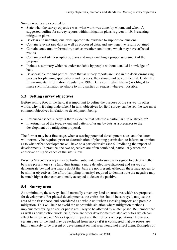Survey reports are expected to:

- State what the survey objective was, what work was done, by whom, and when. A suggested outline for survey reports within mitigation plans is given in 10. Presenting mitigation plans.
- Be clear and unambiguous, with appropriate evidence to support conclusions.
- Contain relevant raw data as well as processed data, and any negative results obtained
- Contain contextual information, such as weather conditions, which may have affected results
- Contain good site descriptions, plans and maps enabling a proper assessment of the proposal.
- Include a summary which is understandable by people without detailed knowledge of bats.
- Be accessible to third parties. Note that as survey reports are used in the decision-making process for planning applications and licences, they should not be confidential. Under the Environmental Information Regulations 1992, Defra (or English Nature) is obliged to make such information available to third parties on request wherever possible.

## **5.3 Setting survey objectives**

Before setting foot in the field, it is important to define the purpose of the survey; in other words, why is it being undertaken? In turn, objectives for field survey can be set, the two most common objectives in relation to development being:

- Presence/absence survey: is there evidence that bats use a particular site or structure?
- Investigation of the type, extent and pattern of usage by bats as a precursor to the development of a mitigation proposal.

The former may be a first stage, when assessing potential development sites, and the latter will normally be required prior to determination of planning permission, to inform an opinion as to what effect development will have on a particular site (see 6. Predicting the impact of development). In practice, the two objectives are often combined, particularly when the conservation significance of the site is low.

Presence/absence surveys may be further subdivided into surveys designed to detect whether bats are present on a site (and thus trigger a more detailed investigation) and surveys to demonstrate beyond reasonable doubt that bats are not present. Although these may appear to be similar objectives, the effort (sampling intensity) required to demonstrate the negative may be much higher than conventionally accepted to detect the positive.

#### **5.4 Survey area**

As a minimum, the survey should normally cover any land or structures which are proposed for development. For phased developments, the entire site should be surveyed, not just the area of the first phase, and considered as a whole unit when assessing impacts and possible mitigation. This will help to avoid the undesirable situation where mitigation methods implemented during an earlier phase are likely to be affected by a later phase. Remember that as well as construction work itself, there are other development-related activities which can affect bat sites (see 6.2 Major types of impact and their effects on populations). However, certain parts of the land may be excluded from survey if it is considered that bat roosts are highly unlikely to be present or development on that area would not affect them. Examples of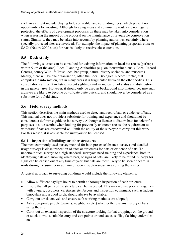such areas might include playing fields or arable land (excluding trees) which present no opportunities for roosting. Although foraging areas and commuting routes are not legally protected, the effects of development proposals on these may be taken into consideration when assessing the impact of the proposal on the maintenance of favourable conservation status. Similarly, they may be taken into account by planning authorities, certainly where specially protected sites are involved. For example, the impact of planning proposals close to SACs (Natura 2000 sites) for bats is likely to receive close attention.

## **5.5 Desk study**

The following sources can be consulted for existing information on local bat roosts (perhaps within 5 km of the area): Local Planning Authorities (e.g. on 'constraint plans'), Local Record Centres, county Wildlife Trust, local bat group, natural history societies, and museums. Ideally, there will be one organisation, often the Local Biological Record Centre, that compiles the information, but in many areas it is fragmented between the other bodies. This consultation can result in lists of recent sightings and an indication of status and distribution in the general area. However, it should only be used as background information, because such archives are likely to become out-of-date quite quickly, and should never be considered as a substitute for a field study.

#### **5.6 Field survey methods**

This section describes the main methods used to detect and record bats or evidence of bats. This manual does not provide a substitute for training and experience and should not be considered a definitive guide to bat surveys. Although a licence to disturb bats for scientific purposes is not essential when looking for previously unknown roosts, the requirement to withdraw if bats are discovered will limit the ability of the surveyor to carry out this work. For this reason, it is advisable for surveyors to be licensed.

#### **5.6.1 Inspection of buildings or other structures**

The most commonly used survey method for both presence/absence surveys and detailed usage surveys is close inspection of sites or structures for bats or evidence of bats. To undertake such surveys to a high standard, surveyors need training and experience, both in identifying bats and knowing where bats, or signs of bats, are likely to be found. Surveys for signs can be carried out at any time of year, but bats are most likely to be seen or heard in roofs during the summer or autumn or seen in subterranean areas during the winter.

A typical approach to surveying buildings would include the following elements:

- Allow sufficient daylight hours to permit a thorough inspection of each structure;
- Ensure that all parts of the structure can be inspected. This may require prior arrangement with owners, occupiers, caretakers etc. Access and inspection equipment, such as ladders, binoculars and a good torch, should always be available;
- Carry out a risk analysis and ensure safe working methods are adopted;
- Ask appropriate people (owners, neighbours etc.) whether there is any history of bats using the site;
- Carry out an external inspection of the structure looking for bat droppings on the ground or stuck to walls, suitable entry and exit points around eaves, soffits, flashing under tiles etc.;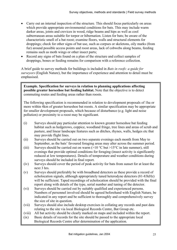- Carry out an internal inspection of the structure. This should focus particularly on areas which provide appropriate environmental conditions for bats. This may include warm darker areas, joints and crevices in wood, ridge beams and hips as well as cool subterranean areas suitable for torpor or hibernation. Listen for bats; be aware of the characteristic smell of a bat roost; examine floors, walls and structural elements for droppings; check for other signs of bat use, such as corpses or skeletons, oily marks (from fur) around possible access points and roost areas, lack of cobwebs along beams, feeding remains such as moth wings or other insect parts;
- Record any signs of bats found on a plan of the structure and collect samples of droppings, bones or feeding remains for comparison with a reference collection.

A brief guide to survey methods for buildings is included in *Bats in roofs: a guide for surveyors* (English Nature), but the importance of experience and attention to detail must be emphasised.

**Example. Specification for surveys in relation to planning applications affecting possible greater horseshoe bat feeding habitat.** Note that the objective is to detect commuting routes and feeding areas rather than roosts.

The following specification is recommended in relation to development proposals of 1ha or more within 4km of greater horseshoe bat roosts. A similar specification may be appropriate for smaller development proposals, which because of disturbance (e.g. light and noise pollution) or proximity to a roost may be significant.

- (i) Surveys should pay particular attention to known greater horseshoe bat feeding habitat such as hedgerows, coppice, woodland fringe, tree lines and areas of scrub and pasture, and linear landscape features such as ditches, rhynes, walls, hedges etc that may provide flight lines.
- (ii) Surveys should be carried out on two separate evenings each month from May to September, as the bats' favoured foraging areas may alter across the summer period.
- (iii) Surveys should be carried out on warm  $(>10 \degree C)$  but  $>15 \degree C$  in late summer), still evenings that provide optimal conditions for foraging (insect activity is significantly reduced at low temperatures). Details of temperature and weather conditions during surveys should be included in final report.
- (iv) Surveys should cover the period of peak activity for bats from sunset for at least the next 3 hrs.
- (v) Surveys should preferably be with broadband detectors as these provide a record of echolocation signals, although appropriately tuned heterodyne detectors (81-83kHz) will be sufficient. Taped recordings of echolocation should be provided with the final report along with details of the type, serial number and tuning of the detector.
- (vi) Surveys should be carried out by suitably qualified and experienced persons. Numbers of personnel involved should be agreed beforehand with English Nature, be indicated in any report and be sufficient to thoroughly and comprehensively survey the size of site in question.
- (vii) Surveys should also include desktop exercises in collating any records and past data relating to the site via local Biological Records Centre, Bat Group etc.
- (viii) All bat activity should be clearly marked on maps and included within the report.
- (ix) Basic details of records for the site should be passed to the appropriate local Biological Records Centre after determination of the application.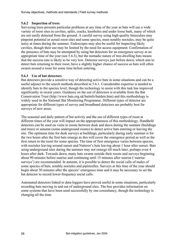#### **5.6.2 Inspection of trees**

Surveying trees presents particular problems at any time of the year as bats will use a wide variety of roost sites in cavities, splits, cracks, knotholes and under loose bark, many of which are not easily detected from the ground. A careful survey using high-quality binoculars may pinpoint potential or actual roost sites and some species, most notably noctules, may be quite noisy at times during the summer. Endoscopes may also be useful for inspecting likely cavities, though their use may be limited by the need for access equipment. Confirmation of the presence of bats may be attempted by using bat detectors for an emergence survey at an appropriate time of the year (see 5.6.3), but the nomadic nature of tree-dwelling bats means that the success rate is likely to be very low. Detector surveys just before dawn, which aim to detect bats returning to their roost, have a slightly higher chance of success as bats will often swarm around a roost for some time before entering.

#### **5.6.3 Use of bat detectors**

Bat detectors provide a sensitive way of detecting active bats in some situations and can be a useful adjunct to the search methods described in 5.6.1. Considerable expertise is needed to identify bats to the species level, though the technology to assist with this task has improved significantly in recent years. Guidance on the use of detectors is available from the Bat Conservation Trust (http://www.bats.org.uk/batinfo/batdets.htm) and this methodology is widely used in the National Bat Monitoring Programme. Different types of detector are appropriate for different types of survey and broadband detectors are probably best for surveys of new areas.

The seasonal and daily pattern of bat activity and the use of different types of roost at different times of the year will impact on the appropriateness of this methodology. Handheld detectors can be used on visits to roosts between dusk and dawn during the summer (buildings and trees) or autumn (some underground roosts) to detect active bats entering or leaving the site. The optimum time for dusk surveys at buildings, particularly during early summer is for the two hours after the first bats emerge as this will cover the emergence period as well as the first return to the roost for some species. The time of first emergence varies between species, with noctules leaving around sunset and Natterer's bats leaving about 1 hour after sunset. Bats using underground sites during the summer may not emerge till much later, perhaps even 4 hours after dark. Towards dawn, many bats swarm outside their roosts and surveys beginning about 90 minutes before sunrise and continuing until 15 minutes after sunrise ('sunrise surveys') are recommended. In autumn, it is possible to detect the social calls of males of some species of bats, notably noctules and pipistrelles. Surveys at this time of the year should begin about 30 minutes after the species' emergence time and it may be necessary to set the bat detector to record lower-frequency social calls.

Automated detectors linked to data-loggers have proved useful in some situations, particularly recording bats moving in and out of underground sites. The box provides information on some systems that have been used successfully by one consultancy, though the technology is changing all the time.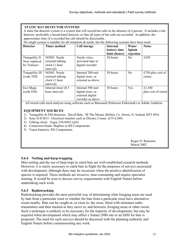#### **STATIC BAT DETECTOR SYSTEMS**

A static bat detector system is a system that will record bat calls in the absence of a person. It includes a bat detector, preferably a broad-band detector, so that all types of bat calls are recorded. In addition, the approximate time of a recorded bat call should be discernable.

No single system is suitable for all situations  $\&$  needs, but the following systems have been used:

| <b>Detector</b>                               | <b>Timer method</b>                                                  | Call storage                                                                    | <b>Internal</b><br>battery time<br>limit (hours) | Water<br><b>Splash</b><br>rejection | <b>Notes</b>                  |
|-----------------------------------------------|----------------------------------------------------------------------|---------------------------------------------------------------------------------|--------------------------------------------------|-------------------------------------|-------------------------------|
| Tranquility II<br>Now replaced<br>by Transect | <b>NONE.</b> Needs<br>external talking<br>clock (1 hour<br>interval) | Needs voice-<br>activated tape or<br>digital recorder                           | 38 hours                                         | No                                  | £450                          |
| Tranquility III<br>(code TIII)                | <b>NONE.</b> Needs<br>external talking<br>clock (1 hour<br>interval) | Internal 200 unit<br>digital store, or<br>external as above                     | 38 hours                                         | N <sub>o</sub>                      | £750 plus cost of<br>extras   |
| Eco Mega<br>(code EM)                         | Internal timer $(0.5)$<br>hour interval)                             | Internal 500 unit<br>digital store, or<br>external digital<br>recorder as above | 38 hours                                         | Yes                                 | £1,540<br>plus cost of extras |

All stored calls need analysis using software such as Batsound (Pettersen Elektronik) or Adobe Audition.

#### **EQUIPMENT SOURCES**

- 1) Tranquility & EM detectors: David Bale, 7B The Mount, Belfast, Co. Down, N. Ireland, BT5 4NA
- 2) Sony ICD-B15: Electrical retailers such as Dixons, Comet. (£75-£100)
- 3) Talking clock: Argos 256/8492 (c£6)
- 4) Connectors/leads: Maplins or RS Components.
- 5) Yuasa batteries: RS Components.

|  | Roger D. Ransome<br>March 2002 |
|--|--------------------------------|
|--|--------------------------------|

#### **5.6.4 Netting and harp-trapping**

Mist netting and the use of harp traps to catch bats are well-established research methods. However, it is rarely necessary to catch bats in flight for the purposes of surveys associated with development, although there may be occasions when the positive identification of species is required. These methods are invasive, time-consuming and require specialist training. It would be wise to discuss survey requirements with English Nature before undertaking such work.

#### **5.6.5 Radiotracking**

Radiotracking provides the most powerful way of determining what foraging areas are used by bats from a particular roost or whether the bats from a particular roost have alternative roosts nearby. Bats can be caught at, or close to, the roost, fitted with miniature radio transmitters and then tracked as they move to, and between, foraging areas or other roosts. Such a technique is unlikely to be necessary for the majority of developments, but may be required when development which may affect a Natura 2000 site or an SSSI for bats is proposed. The need for such surveys should be discussed with the planning authority and English Nature before commissioning any work.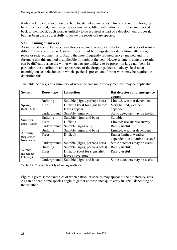Radiotracking can also be used to help locate unknown roosts. This would require foraging bats to be captured, using harp traps or mist nets, fitted with radio transmitters and tracked back to their roost. Such work is unlikely to be required as part of a development proposal, but has been used successfully to locate the roosts of rare species.

#### **5.6.6 Timing of surveys**

As indicated above, bat survey methods vary in their applicability to different types of roost at different times of the year. Careful inspection of buildings due for demolition, alteration, repair or redevelopment is probably the most frequently required survey method and it is fortunate that this method is applicable throughout the year. However, interpreting the results can be difficult during the winter when bats are unlikely to be present in large numbers. In particular, the distribution and appearance of the droppings does not always lead to an unambiguous conclusion as to which species is present and further work may be required to determine this.

| <b>Season</b>             | <b>Roost type</b> | Inspection                        | Bat detectors and emergence     |
|---------------------------|-------------------|-----------------------------------|---------------------------------|
|                           |                   |                                   | counts                          |
|                           | <b>Building</b>   | Suitable (signs, perhaps bats)    | Limited, weather dependent      |
| Spring                    | Trees             | Difficult (best for signs before) | Very limited, weather           |
| $(Mar-May)$               |                   | leaves appear)                    | dependent                       |
|                           | Underground       | Suitable (signs only)             | Static detectors may be useful  |
|                           | <b>Building</b>   | Suitable (signs and bats)         | Suitable                        |
| Summer<br>(June-August)   | Trees             | Difficult                         | Limited; use sunrise survey     |
|                           | Underground       | Suitable (signs only)             | Rarely useful                   |
|                           | <b>Building</b>   | Suitable (signs and bats)         | Limited, weather dependent      |
| Autumn                    | Trees             | Difficult                         | Rather limited, weather         |
| (September –<br>November) |                   |                                   | dependent; use sunrise survey?  |
|                           | Underground       | Suitable (signs, perhaps bats)    | Static detectors may be useful  |
|                           | <b>Building</b>   | Suitable (signs, perhaps bats))   | Rarely useful                   |
| Winter                    | Trees             | Difficult (best for signs after   | Rarely useful                   |
| (December-<br>February)   |                   | leaves have gone)                 |                                 |
|                           | Underground       | Suitable (signs and bats)         | Static detectors may be useful. |

The table below gives a summary of when the two main survey methods may be applicable.

Table 5.2. The applicability of survey methods.

Figure 3 gives some examples of when particular species may appear at their maternity sites. As can be seen, some species begin to gather at these sites quite early in April, depending on the weather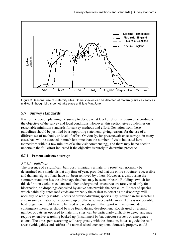

Figure 3 Seasonal use of maternity sites. Some species can be detected at maternity sites as early as mid-April, though births do not take place until late May/June.

## **5.7 Survey standards**

It is for the person planning the survey to decide what level of effort is required, according to the objective of the survey and local conditions. However, this section gives guidelines on reasonable minimum standards for survey methods and effort. Deviation from these guidelines should be justified by a supporting statement, giving reasons for the use of a different set of methods, or level of effort. Obviously, for presence/absence surveys, in many cases bats will be detected in much less time than the number of visits indicated here (sometimes within a few minutes of a site visit commencing), and there may be no need to undertake the full effort indicated if the objective is purely to determine presence.

#### **5.7.1 Presence/absence surveys**

#### *5.7.1.1 Buildings*

The presence of a significant bat roost (invariably a maternity roost) can normally be determined on a single visit at any time of year, provided that the entire structure is accessible and that any signs of bats have not been removed by others. However, a visit during the summer or autumn has the advantage that bats may be seen or heard. Buildings (which for this definition excludes cellars and other underground structures) are rarely used only for hibernation, so droppings deposited by active bats provide the best clues. Roosts of species which habitually enter roof voids are probably the easiest to detect as the droppings will normally be readily visible. Roosts of crevice-dwelling species may require careful searching and, in some situations, the opening up of otherwise inaccessible areas. If this is not possible, best judgement might have to be used or caveats put in the report with recommended contingency measures should bats be found during development. Roosts used by a small number of bats, as opposed to maternity sites, can be particularly difficult to detect and may require extensive searching backed up (in summer) by bat detector surveys or emergence counts. The time spent searching will vary greatly with the situation, but as a guide the roof areas (void, gables and soffits) of a normal-sized unexceptional domestic property could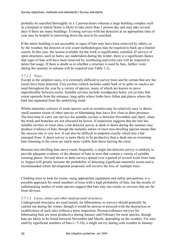probably be searched thoroughly in 1-2 person-hours whereas a large building complex such as a hospital or stately home is likely to take more than 1 person-day and may take several days if there are many buildings. Evening surveys with bat detectors at an appropriate time of year may be helpful in narrowing down the area to be searched.

If the entire building is not accessible or signs of bats may have been removed by others, or by the weather, bat detector or exit count methodologies may be required to back up a limited search. In this case, the season available for the work is significantly curtailed. If surveys of open structures, such as barns, are undertaken during the winter, there is a significant chance that signs of bats will have been removed by weathering and extra care will be required to detect bat usage. If there is doubt as to whether a structure is used by bats, further visits during the summer or autumn will be required (see Table 5.2).

#### *5.7.1.2 Trees*

Except in the simplest cases, it is extremely difficult to survey trees and be certain that any bat roosts have been detected. Tree cavities (which includes under bark or in splits or cracks) are used throughout the year by a variety of species, many of which are known to move unpredictably between roosts. Suitable cavities include woodpecker holes, rot cavities that orient upwards from the entrance, long splits where limbs have fallen and places where the bark has separated from the underlying trunk.

Whilst maternity colonies of some species such as noctules may be relatively easy to detect, small summer roosts of other species or hibernating bats leave few clues to their presence. The best time to carry out surveys for suitable cavities is between November and April, when the trunk and branches are not obscured by leaves. If inspection suggests that the tree has suitable cavities or roost sites, a bat detector survey at dusk or dawn during the summer may produce evidence of bats, though the nomadic nature of most tree-dwelling species means that the success rate is very low. It can also be difficult to pinpoint exactly which tree a bat emerged from. A dawn survey is more likely to be productive than a dusk one as swarming bats returning to the roost are much more visible than those leaving the roost.

Because tree-dwelling bats move roosts frequently, a single bat-detector survey is unlikely to provide adequate evidence of the absence of bats in trees that contain a variety of suitable roosting places. Several dawn or dusk surveys spread over a period of several week from June to August will greatly increase the probability of detecting significant maternity roosts and is recommended where development proposals will involve the loss of multiple trees.

Climbing trees to look for roosts, using appropriate equipment and safety precautions, is a possible approach for small numbers of trees with a high probability of bats, but the results of radiotracking studies of some species suggest that bats may use cracks or crevices that are far from obvious.

#### *5.7.1.3 Caves, mines and other underground structures*

Underground structures are used mainly for hibernation, so surveys should generally be carried out during the winter, though it would be unwise to proceed with the destruction or modification of such sites without a prior inspection. Presence/absence surveys for hibernating bats are most productive during January and February for most species, though bats are likely to be found between November and March, depending on the weather. For sites used by significant numbers of bats  $(> 5-10)$ , a single survey during cold weather in January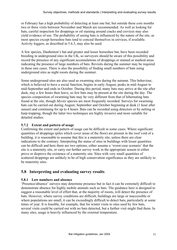or February has a high probability of detecting at least one bat, but outside these core months two or three visits between November and March are recommended. As well as looking for bats, careful inspection for droppings or oil staining around cracks and crevices may also yield evidence of use. The probability of seeing bats is influenced by the nature of the site, as most species except horseshoe bats tend to conceal themselves in crevices, if available. Activity loggers, as described in 5.6.3, may also be used.

A few species, Daubenton's bat and greater and lesser horseshoe bat, have been recorded breeding in underground sites in the UK, so surveyors should be aware of this possibility and record the presence of any significant accumulations of droppings or stained or marked areas indicating the presence of large numbers of bats. Revisits during the summer may be required in these rare cases. There is also the possibility of finding small numbers of bats using underground sites as night roosts during the summer.

Some underground sites are also used as swarming sites during the autumn. This behaviour, which is believed to have a social function, begins in early August, peaks in mid-August to mid-September and ends in October. During this period, many bats may arrive at the site after dusk, stay a few hours then leave, so few bats may be present at the site during the day. The species composition of swarming bats may be very different from that of hibernating bats found at the site, though *Myotis* species are most frequently recorded. Surveys for swarming bats can be carried out during August, September and October beginning at dusk (1 hour after sunset) and continuing for up to 4 hours. Bats can be recorded using detectors or by netting or harp-trapping, though the latter two techniques are highly invasive and more suitable for detailed studies.

#### **5.7.2 Extent and pattern of usage**

Confirming the extent and pattern of usage can be difficult in some cases. Where significant quantities of droppings (piles which cover areas of the floor) are present in the roof void of a building, it is reasonable to assume that this is a maternity site, unless there are clear indications to the contrary. Interpreting the status of sites in buildings with lesser quantities can be difficult and here there are two options; either assume a 'worst-case scenario' that the site is a maternity site, or carry out further survey work in the appropriate season to either prove or disprove the existence of a maternity site. Sites with very small quantities of scattered droppings are unlikely to be of high conservation significance as they are unlikely to be maternity sites.

#### **5.8 Interpreting and evaluating survey results**

#### **5.8.1 Low numbers and absence**

'Presence/absence' surveys may determine presence but in fact it can be extremely difficult to demonstrate absence for highly mobile animals such as bats. The guidance here is designed to suggest a reasonable level of effort that, at the majority of roosts, will detect the presence of bats. However, where survey conditions are difficult, buildings are large or inaccessible or where populations are small, it can be exceedingly difficult to detect bats, particularly at some times of year. It is feasible, for example, that for winter visits to sites used by few bats, several visits could be carried out with no bats detected, but a further visit might find them. In many sites, usage is heavily influenced by the external temperature.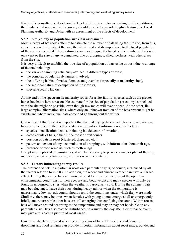It is for the consultant to decide on the level of effort to employ according to site conditions; the fundamental issue is that the survey should be able to provide English Nature, the Local Planning Authority and Defra with an assessment of the effects of development.

#### **5.8.2 Site, colony or population size class assessment**

Most surveys of bat roosts attempt to estimate the number of bats using the site and, from this, come to a conclusion about the way the site is used and its importance to the local population of the species recorded. These estimates are most frequently based on the number of bats seen on a visit or the size of any accumulated pile of droppings, allied, perhaps, with other clues from the site.

It is very difficult to establish the true size of a population of bats using a roost, due to a range of factors including:

- the variable sampling efficiency attained in different types of roost,
- the complex population dynamics involved,
- the differing habits of males, females and juveniles (especially at maternity sites),
- the seasonal nature of occupation of most roosts,
- species-specific factors.

At one end of the spectrum lie maternity roosts for a site-faithful species such as the greater horseshoe bat, where a reasonable estimate for the size of population (or colony) associated with the site might be possible, even though few males will ever be seen. At the other, lie large complex hibernation sites, where only an unknown fraction of the bats present might be visible and where individual bats come and go throughout the winter.

Given these difficulties, it is important that the underlying data on which any conclusions are based are included in the method statement. Significant information items include:

- species identification details, including bat detector information,
- dated counts of bats, either in the roost or exit counts
- position of bats in roost (clustered, dispersed etc.),
- pattern and extent of any accumulation of droppings, with information about their age,
- presence of food remains, such as moth wings

Except in exceptional circumstances, it will be necessary to provide a map or plan of the site, indicating where any bats, or signs of bats were encountered.

#### **5.8.3 Factors influencing survey results**

The presence of bats in a particular roost on a particular day is, of course, influenced by all the factors referred to in 5.8.2. In addition, the recent and current weather can have a marked effect. During the winter, bats will move around to find sites that present the optimum environmental conditions for their age, sex and bodyweight and many species will only be found in underground sites when the weather is particularly cold. During the summer, bats may be reluctant to leave their roost during heavy rain or when the temperature is unseasonably low, so exit counts should record the conditions under which they were made. Similarly, there may be times when females with young do not emerge at all or emerge only briefly and return while other bats are still emerging thus confusing the count. Within roosts, bats will move around according to the temperature and may or may not be visible on any particular visit. Bats also react to disturbance, so a survey the day after a disturbance event, may give a misleading picture of roost usage.

Care must also be exercised when recording signs of bats. The volume and layout of droppings and food remains can provide important information about roost usage, but depend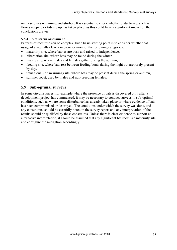on these clues remaining undisturbed. It is essential to check whether disturbance, such as floor sweeping or tidying up has taken place, as this could have a significant impact on the conclusions drawn.

#### **5.8.4 Site status assessment**

Patterns of roost use can be complex, but a basic starting point is to consider whether bat usage of a site falls clearly into one or more of the following categories:

- maternity site, where babies are born and raised to independence,
- hibernation site, where bats may be found during the winter,
- mating site, where males and females gather during the autumn,
- feeding site, where bats rest between feeding bouts during the night but are rarely present by day,
- transitional (or swarming) site, where bats may be present during the spring or autumn,
- summer roost, used by males and non-breeding females.

#### **5.9 Sub-optimal surveys**

In some circumstances, for example where the presence of bats is discovered only after a development project has commenced, it may be necessary to conduct surveys in sub-optimal conditions, such as where some disturbance has already taken place or where evidence of bats has been compromised or destroyed. The conditions under which the survey was done, and any constraints, should be carefully noted in the survey report and any interpretation of the results should be qualified by these constraints. Unless there is clear evidence to support an alternative interpretation, it should be assumed that any significant bat roost is a maternity site and configure the mitigation accordingly.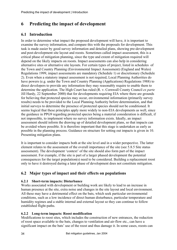## **6 Predicting the impact of development**

## **6.1 Introduction**

In order to determine what impact the proposed development will have, it is important to examine the survey information, and compare this with the proposals for development. This task is made easier by good survey information and detailed plans, showing pre-development and post-development site layout and roosts. Sometimes called impact assessment, this is a critical phase of mitigation planning, since the type and extent of mitigation required will depend on the likely impacts on roosts. Impact assessments can also help in considering alternative sites or alternative site layouts. For certain types of project, listed in schedules of the Town and Country Planning (Environmental Impact Assessment) (England and Wales) Regulations 1999, impact assessments are mandatory (Schedule 1) or discretionary (Schedule 2). Even when a statutory impact assessment is not required, Local Planning Authorities do have powers (e.g. under the Town and Country Planning (Applications) Regulations 1988) to direct developers to provide any information they may reasonably require to enable them to determine the application. The High Court has ruled (R. v. Cornwall County Council *ex parte* Jill Hardy, 22 September 2000) that for developments requiring EIA where there are grounds for believing that protected species may occur, environmental information (primarily survey results) needs to be provided to the Local Planning Authority before determination, and that initial surveys to determine the presence of protected species should not be conditioned. It seems logical that these principles apply more widely to non-EIA developments as well, since the guidance in PPG9 regarding protected species being a material consideration is difficult, if not impossible, to implement where no survey information exists. Ideally, an impact assessment should inform the drawing up of detailed development plans, so that impacts can be avoided where possible. It is therefore important that this stage is undertaken as early as possible in the planning process. Guidance on structure for setting out impacts is given in 10. Presenting mitigation plans.

It is important to consider impacts both at the site level and in a wider perspective. The latter element relates to the assessment of the overall importance of the site (see 5.8.5 Site status assessment). The development 'context' of the site should also form part of the impact assessment. For example, if the site is part of a larger phased development the potential consequences for the target population(s) need to be considered. Building a replacement roost only to have it destroyed during a later phase of development does not constitute mitigation.

## **6.2 Major types of impact and their effects on populations**

#### **6.2.1 Short-term impacts: Disturbance**

Works associated with development or building work are likely to lead to an increase in human presence at the site, extra noise and changes in the site layout and local environment. All these may have a detrimental effect on the bats, which seek particular environmental conditions, such as a low incidence of direct human disturbance, particular temperature and humidity regimes and a stable internal and external layout so they can continue to follow established flight-paths.

#### **6.2.2 Long-term impacts: Roost modification**

Modifications to roost sites, which includes the construction of new entrances, the reduction of roost space available to the bats, changes to ventilation and air-flow etc., can have a significant impact on the bats' use of the roost and thus damage it. In some cases, roosts can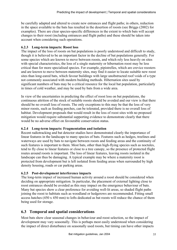be carefully adapted and altered to create new entrances and flight paths; in others, reduction in the space available to the bats has resulted in the desertion of roosts (see Briggs (2002) for examples). There are clear species-specific differences in the extent to which bats will accept changes to their roost (including entrances and flight paths) and these should be taken into account when considering such operations.

#### **6.2.3 Long-term impacts: Roost loss**

The impact of the loss of roosts on bat populations is poorly understood and difficult to study, though it is believed to be an important factor in the decline of bat populations generally. For some species which are known to move between roosts, and which rely less heavily on sites with special characteristics, the loss of a single maternity or hibernation roost may be less critical than for more specialised species. For example, pipistrelles, which are crevice roosters and are known to move between maternity sites, may find it easier to locate suitable new roost sites than long-eared bats, which favour buildings with large unobstructed roof voids of a type not commonly associated with modern building methods. Hibernation sites used by significant numbers of bats may be a critical resource for the local bat population, particularly in times of cold weather, and may be used by bats from a wide area.

In view of the uncertainties in predicting the effect of roost loss on bat populations, the continuous attrition of the stock of suitable roosts should be avoided and our view is that there should be no overall loss of roosts. The only exceptions to this may be that the loss of very minor roosts, such as feeding perches, can be tolerated, provided there is no overall loss of habitat. Development proposals that would result in the loss of roost sites with no proposed mitigation would require substantial supporting evidence to demonstrate clearly that there would be no adverse effect on favourable conservation status.

#### **6.2.4 Long-term impacts: Fragmentation and isolation**

Recent radiotracking and bat detector studies have demonstrated clearly the importance of linear features in the landscape to many species of bats. Features such as hedges, treelines and waterways are used by bats to navigate between roosts and feeding areas and the continuity of such features is important to them. Most bats, other than high-flying species such as noctules, tend to fly close to linear features or close to a tree canopy, so the presence of protected flight routes around roosts is important. The loss of linear features, leaving roosts isolated in the landscape can thus be damaging. A typical example may be where a maternity roost is protected from development but is left isolated from feeding areas when surrounded by high density housing, roads or car parking areas.

#### **6.2.5 Post-development interference impacts**

The long-term impact of increased human activity around a roost should be considered when deciding on appropriate mitigation. In particular, the placement of external lighting close to roost entrances should be avoided as this may impact on the emergence behaviour of bats. Many bat species show a clear preference for avoiding well-lit areas, so shaded flight paths joining the roost to habitats such as woodland or hedgerows are recommended. Fitting small access hatches (450 x 450 mm) to lofts dedicated as bat roosts will reduce the chance of them being used for storage.

#### **6.3 Temporal and spatial considerations**

Most bats show clear seasonal changes in behaviour and roost selection, so the impact of development may vary seasonally. This is perhaps most easily understood when considering the impact of direct disturbance on seasonally used roosts, but timing can have other impacts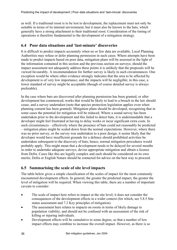as well. If a traditional roost is to be lost to development, the replacement must not only be suitable in terms of its internal environment, but it must also be known to the bats, which generally have a strong attachment to their traditional roost. Consideration of the timing of operations is therefore fundamental to the development of a mitigation strategy.

## **6.4 Poor data situations and 'last-minute' discoveries**

It is difficult to predict impacts accurately when no or few data are available. Local Planning Authorities may refuse or defer planning permission in such cases. Where attempts have been made to predict impacts based on poor data, mitigation plans will be assessed in the light of the information contained in this section and the previous section on surveys; should the impact assessment not adequately address these points it is unlikely that the proposals will be viewed favourably. A recommendation for further survey is likely in such circumstances. One exception would be where other evidence strongly indicates that the area to be affected by development is of very low importance, and the impacts will be negligible; in this case, a lower standard of survey might be acceptable (though of course detailed survey is always preferable).

In the case where bats are discovered after planning permission has been granted, or after development has commenced, works that would be likely to lead to a breach in the law should cease, and a survey undertaken (note that species protection legislation applies even when planning consent has been granted). Mitigation plans should be developed, recognising that in some cases the potential for mitigation will be reduced. Where a sound survey has been undertaken prior to the development and this failed to detect bats, it is understandable that a developer might feel frustrated at having to delay works or incur significant extra costs. In such circumstances – effectively where the presence of bats could not reasonably be predicted – mitigation plans might be scaled down from the normal expectations. However, where there was no prior survey, or the survey was undertaken to a poor design, it seems likely that the developer would have insufficient grounds for a defence should prohibited activities be undertaken subsequent to the discovery of bats; hence, normal mitigation procedures would probably apply. This might mean that a development needs to be delayed for several months in order to undertake adequate surveys, devise appropriate mitigation and obtain a licence from Defra. Cases like this are legally complex and each should be considered on its own merits; Defra or English Nature should be contacted for advice on the best way to proceed.

## **6.5 Summarising the scale of site level impacts**

The table below gives a simple classification of the scales of impact for the most commonly encountered development effects. In general, the greater the predicted impact, the greater the level of mitigation will be required. When viewing this table, there are a number of important caveats to consider:

- The scale of impact here refers to impact at the site level; it does not consider the consequences of the development effects in a wider context (for which, see 5.8.5 Site status assessment and 7.2 Key principles of mitigation).
- The assessment here relates to impacts on roosts in terms of likely damage to population viability, and should not be confused with an assessment of the risk of killing or injuring individuals.
- Development effects will be cumulative to some degree, so that a number of low impact effects may combine to increase the overall impact. However, as there is so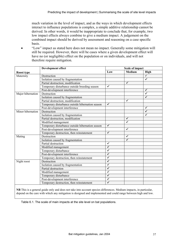much variation in the level of impact, and as the ways in which development effects interact to influence populations is complex, a simple additive relationship cannot be derived. In other words, it would be inappropriate to conclude that, for example, two low impact effects always combine to give a medium impact. A judgement on the combined impact should be derived by assessment and reasoning on a case specific basis.

• "Low" impact as stated here does not mean no impact. Generally some mitigation will still be required. However, there will be cases where a given development effect will have no (or negligible) effect on the population or on individuals, and will not therefore require mitigation.

|                   | Development effect                               | <b>Scale of impact</b> |               |              |
|-------------------|--------------------------------------------------|------------------------|---------------|--------------|
| Roost type        |                                                  | Low                    | <b>Medium</b> | High         |
| Maternity         | Destruction                                      |                        |               | $\checkmark$ |
|                   | Isolation caused by fragmentation                |                        |               | $\checkmark$ |
|                   | Partial destruction; modification                |                        | ✔             |              |
|                   | Temporary disturbance outside breeding season    | ✔                      |               |              |
|                   | Post-development interference                    |                        |               | ✓            |
| Major hibernation | Destruction                                      |                        |               | $\checkmark$ |
|                   | Isolation caused by fragmentation                |                        |               | ✔            |
|                   | Partial destruction; modification                |                        | ✔             |              |
|                   | Temporary disturbance outside hibernation season | ✓                      |               |              |
|                   | Post-development interference                    |                        |               | ✔            |
| Minor hibernation | Destruction                                      |                        |               | ✓            |
|                   | Isolation caused by fragmentation                |                        |               | $\checkmark$ |
|                   | Partial destruction, modification                |                        | ✔             |              |
|                   | Modified management                              |                        | ✓             |              |
|                   | Temporary disturbance outside hibernation season | ✓                      |               |              |
|                   | Post-development interference                    |                        | ✓             |              |
|                   | Temporary destruction, then reinstatement        | $\checkmark$           |               |              |
| Mating            | Destruction                                      |                        | $\checkmark$  |              |
|                   | Isolation caused by fragmentation                |                        | $\checkmark$  |              |
|                   | Partial destruction                              | ✔                      |               |              |
|                   | Modified management                              | ✓                      |               |              |
|                   | Temporary disturbance                            | √                      |               |              |
|                   | Post-development interference                    | ✓                      |               |              |
|                   | Temporary destruction, then reinstatement        | $\blacktriangledown$   |               |              |
| Night roost       | Destruction                                      | ✓                      |               |              |
|                   | Isolation caused by fragmentation                | ✔                      |               |              |
|                   | Partial destruction                              | ✓                      |               |              |
|                   | Modified management                              | ✔                      |               |              |
|                   | Temporary disturbance                            | ✓                      |               |              |
|                   | Post-development interference                    | $\blacktriangledown$   |               |              |
|                   | Temporary destruction, then reinstatement        | ✓                      |               |              |

**NB** This is a general guide only and does not take into account species differences. Medium impacts, in particular, depend on the care with which any mitigation is designed and implemented and could range between high and low.

Table 6.1. The scale of main impacts at the site level on bat populations.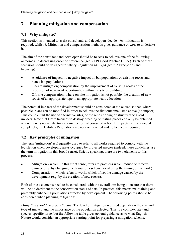# **7 Planning mitigation and compensation**

# **7.1 Why mitigate?**

This section is intended to assist consultants and developers decide *what* mitigation is required, whilst 8. Mitigation and compensation methods gives guidance on *how* to undertake it.

The aim of the consultant and developer should be to seek to achieve one of the following outcomes, in decreasing order of preference (see RTPI Good Practice Guide). Each of these scenarios should be designed to satisfy Regulation 44(3)(b) (see 2.2 Exceptions and licensing):

- Avoidance of impact; no negative impact on bat populations or existing roosts and hence bat populations
- On-site mitigation; compensation by the improvement of existing roosts or the provision of new roost opportunities within the site or building
- Off-site compensation; where on-site mitigation is not possible, the creation of new roosts of an appropriate type in an appropriate nearby location.

The potential impacts of the development should be considered at the outset, so that, where possible, plans can be modified in order to achieve the first outcome listed above (no impact). This could entail the use of alternative sites, or the repositioning of structures to avoid impacts. Note that Defra licences to destroy breeding or resting places can only be obtained where there is no satisfactory alternative to that course of action. If impacts can be avoided completely, the Habitats Regulations are not contravened and no licence is required.

# **7.2 Key principles of mitigation**

The term 'mitigation' is frequently used to refer to all works required to comply with the legislation when developing areas occupied by protected species (indeed, these guidelines use the term mitigation in this broad sense). Strictly speaking, there are two elements to this process:

- Mitigation which, in this strict sense, refers to practices which reduce or remove damage (e.g. by changing the layout of a scheme, or altering the timing of the work)
- Compensation which refers to works which offset the damage caused by the development (e.g. by the creation of new roosts).

Both of these elements need to be considered, with the overall aim being to ensure that there will be no detriment to the conservation status of bats. In practice, this means maintaining and preferably enhancing populations affected by development. The following points should be considered when planning mitigation:

*Mitigation should be proportionate.* The level of mitigation required depends on the size and type of impact, and the importance of the population affected. This is a complex site- and species-specific issue, but the following table gives general guidance as to what English Nature would consider an appropriate starting point for preparing a mitigation scheme.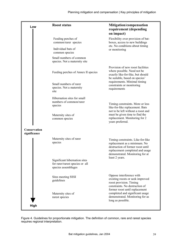| Low                          | <b>Roost status</b>                                                                     | Mitigation/compensation<br>requirement (depending<br>on impact)                                                                                                              |
|------------------------------|-----------------------------------------------------------------------------------------|------------------------------------------------------------------------------------------------------------------------------------------------------------------------------|
|                              | Feeding perches of<br>common/rarer species                                              | Flexibility over provision of bat-<br>boxes, access to new buildings                                                                                                         |
|                              | Individual bats of<br>common species                                                    | etc. No conditions about timing<br>or monitoring                                                                                                                             |
|                              | Small numbers of common<br>species. Not a maternity site                                |                                                                                                                                                                              |
|                              | Feeding perches of Annex II species                                                     | Provision of new roost facilities<br>where possible. Need not be<br>exactly like-for-like, but should<br>be suitable, based on species'                                      |
|                              | Small numbers of rarer<br>species. Not a maternity<br>site                              | requirements. Minimal timing<br>constraints or monitoring<br>requirements                                                                                                    |
|                              | Hibernation sites for small<br>numbers of common/rarer<br>species                       | Timing constraints. More or less<br>like-for-like replacement. Bats<br>not to be left without a roost and                                                                    |
|                              | Maternity sites of<br>common species                                                    | must be given time to find the<br>replacement. Monitoring for 2<br>years preferred.                                                                                          |
| Conservation<br>significance |                                                                                         |                                                                                                                                                                              |
|                              | Maternity sites of rarer<br>species                                                     | Timing constraints. Like-for-like<br>replacement as a minimum. No<br>destruction of former roost until<br>replacement completed and usage<br>demonstrated. Monitoring for at |
|                              | Significant hibernation sites<br>for rarer/rarest species or all<br>species assemblages | least 2 years.                                                                                                                                                               |
|                              | Sites meeting SSSI<br>guidelines                                                        | Oppose interference with<br>existing roosts or seek improved<br>roost provision. Timing<br>constraints. No destruction of<br>former roost until replacement                  |
|                              | Maternity sites of<br>rarest species                                                    | completed and significant usage<br>demonstrated. Monitoring for as<br>long as possible.                                                                                      |
| High                         |                                                                                         |                                                                                                                                                                              |

Figure 4. Guidelines for proportionate mitigation. The definition of common, rare and rarest species requires regional interpretation.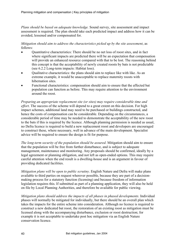*Plans should be based on adequate knowledge.* Sound survey, site assessment and impact assessment is required. The plan should take each predicted impact and address how it can be avoided, lessened and/or compensated for.

### *Mitigation should aim to address the characteristics picked up by the site assessment*, as follows:

- Ouantitative characteristics: There should be no net loss of roost sites, and in fact where significant impacts are predicted there will be an expectation that compensation will provide an enhanced resource compared with that to be lost. The reasoning behind this concept is that the acceptability of newly created roosts by bats is not predictable (see 6.2.2 Long-term impacts: Habitat loss).
- Qualitative characteristics: the plans should aim to replace like with like. As an extreme example, it would be unacceptable to replace maternity roosts with hibernation sites
- Functional characteristics: compensation should aim to ensure that the affected bat population can function as before. This may require attention to the environment around the roost.

*Preparing an appropriate replacement site (or sites) may require considerable time and effort*. The success of the scheme will depend to a great extent on this decision. For high impact schemes, additional land may need to be purchased or buildings constructed, and hence the costs of compensation can be considerable. Depending on the circumstances, a considerable period of time may be needed to demonstrate the acceptability of the new roost to the bats if this is required by the licence. Although planning permission is needed as usual, no Defra licence is required to build a new replacement roost and developers are encouraged to construct these, where necessary, well in advance of the main development. Specialist advice will be required to ensure the design is fit for purpose.

*The long-term security of the population should be assured*. Mitigation should aim to ensure that the population will be free from further disturbance, and is subject to adequate management, maintenance and monitoring. Any proposals should be confirmed, ideally by a legal agreement or planning obligation, and not left as open-ended options. This may require careful attention when the end result is a dwelling-house and is an argument in favour of providing dedicated facilities.

*Mitigation plans will be open to public scrutiny*. English Nature and Defra will make plans available to third parties on request wherever possible, because they are part of a decisionmaking process for a statutory function (licensing) and because freedom of information legislation requires this. If submitted as part of a planning application, they will also be held on file by Local Planning Authorities, and therefore be available for public viewing.

*Mitigation plans should address the impacts of all phases in phased developments.* Individual phases will normally be mitigated for individually, but there should be an overall plan which takes the impacts for the entire scheme into consideration. Although no licence is required to construct a new dedicated bat roost, the restoration of an existing roost as mitigation must be licensed along with the accompanying disturbance, exclusion or roost destruction; for example it is not acceptable to undertake post hoc mitigation via an English Nature conservation licence.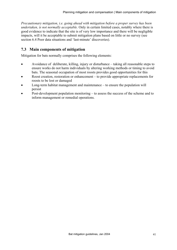*Precautionary mitigation, i.e. going ahead with mitigation before a proper survey has been undertaken, is not normally acceptable.* Only in certain limited cases, notably where there is good evidence to indicate that the site is of very low importance and there will be negligible impacts, will it be acceptable to submit mitigation plans based on little or no survey (see section 6.4 Poor data situations and 'last-minute' discoveries).

## **7.3 Main components of mitigation**

Mitigation for bats normally comprises the following elements:

- Avoidance of deliberate, killing, injury or disturbance taking all reasonable steps to ensure works do not harm individuals by altering working methods or timing to avoid bats. The seasonal occupation of most roosts provides good opportunities for this
- Roost creation, restoration or enhancement to provide appropriate replacements for roosts to be lost or damaged
- Long-term habitat management and maintenance to ensure the population will persist
- Post-development population monitoring to assess the success of the scheme and to inform management or remedial operations.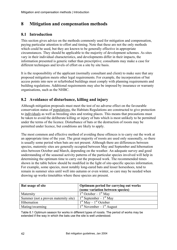# **8 Mitigation and compensation methods**

## **8.1 Introduction**

This section gives advice on the methods commonly used for mitigation and compensation, paying particular attention to effort and timing. Note that these are not the only methods which could be used, but they are known to be generally effective in appropriate circumstances. They should be applicable to the majority of development schemes. As sites vary in their individual characteristics, and developments differ in their impacts, the information presented is generic rather than prescriptive; consultants may make a case for different techniques and levels of effort on a site by site basis.

It is the responsibility of the applicant (normally consultant and client) to make sure that any proposed mitigation meets other legal requirements. For example, the incorporation of bat access points into new or refurbished buildings must comply with planning requirements and building regulations. Additional requirements may also be imposed by insurance or warranty organisations, such as the NHBC.

## **8.2 Avoidance of disturbance, killing and injury**

Although mitigation proposals must meet the test of no adverse effect on the favourable conservation status of populations, the Habitats Regulations are constructed to give protection to individuals as well as breeding sites and resting places. This means that precautions must be taken to avoid the deliberate killing or injury of bats which is most unlikely to be permitted under the terms of the licence. Disturbance of bats or the destruction of roosts may be permitted under licence, but conditions are likely to apply.

The most common and effective method of avoiding these offences is to carry out the work at an appropriate time of the year. The great majority of roosts are used only seasonally, so there is usually some period when bats are not present. Although there are differences between species, maternity sites are generally occupied between May and September and hibernation sites between October and March, depending on the weather. An adequate survey and good understanding of the seasonal activity patterns of the particular species involved will help in determining the optimum time to carry out the proposed work. The recommended times shown in the table below should be modified in the light of site-specific species information. For example, some species, most notably long-eared bats and lesser horseshoes, tend to remain in summer sites until well into autumn or even winter, so care may be needed when drawing up works timetables where these species are present.

| Bat usage of site                    | Optimum period for carrying out works<br>(some variation between species) |  |  |
|--------------------------------------|---------------------------------------------------------------------------|--|--|
| Maternity                            | $1st October - 1st May$                                                   |  |  |
| Summer (not a proven maternity site) | $1st$ September – $1st$ May                                               |  |  |
| Hibernation                          | $1st$ May $-1st$ October                                                  |  |  |
| Mating/swarming                      | $1st$ November – $1st$ August                                             |  |  |

Table 8.1 Optimum season for works in different types of roosts. The period of works may be extended if the way in which the bats use the site is well understood.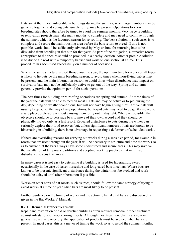Bats are at their most vulnerable in buildings during the summer, when large numbers may be gathered together and young bats, unable to fly, may be present. Operations to known breeding sites should therefore be timed to avoid the summer months. Very large rebuilding or renovation projects may take many months to complete and may need to continue through the summer, which is the favoured season for re-roofing. The best solution in such cases is to complete and secure the main roosting area before the bats return to breed. If this is not possible, work should be sufficiently advanced by May or June for returning bats to be dissuaded from breeding in that site for that year. As part of the mitigation, alternative roosts appropriate to the species should be provided in a nearby location. Another possible solution is to divide the roof with a temporary barrier and work on one section at a time. This procedure has been used successfully on a number of occasions.

Where the same structure is used throughout the year, the optimum time for works of all types is likely to lie outside the main breeding season, to avoid times when non-flying babies may be present, and the main hibernation season, to avoid times when disturbance may impact on survival or bats may not be sufficiently active to get out of the way. Spring and autumn generally provide the optimum period for such operations.

The best times for building or re-roofing operations are spring and autumn. At these times of the year the bats will be able to feed on most nights and may be active or torpid during the day, depending on weather conditions, but will not have begun giving birth. Active bats will usually keep out of the way of any operations, but torpid bats may need to be gently moved to a safe place, preferably without causing them to fly out in daylight. Wherever possible, the objective should be to persuade bats to move of their own accord and they should be physically moved only as a last resort. Repeated disturbance to bats during the winter can seriously deplete their food reserves, but, unless significant numbers of bats are known to be hibernating in a building, there is no advantage in requesting a deferment of scheduled works.

If there are overriding reasons for carrying out works during a sensitive period, for example in roosts that are used throughout the year, it will be necessary to structure and time the works so as to ensure that the bats always have some undisturbed and secure areas. This may involve the installation of temporary partitions and adopting working practices that minimise disturbance to sensitive areas.

In many cases it is not easy to determine if a building is used for hibernation, except occasionally in the case of lesser horseshoe and long-eared bats in cellars. Where bats are known to be present, significant disturbance during the winter must be avoided and work should be delayed until after hibernation if possible.

Works on other sorts of bat roosts, such as trees, should follow the same strategy of trying to avoid works at a time of year when bats are most likely to be present.

Further guidance on the timing of works and the action to be taken if bats are discovered is given in the Bat Workers' Manual.

### **8.2.1 Remedial timber treatment**

Repair and restoration of old or derelict buildings often requires remedial timber treatment against infestations of wood-boring insects. Although most treatment chemicals now in general use are safe once dry, the application of products must be avoided when bats are present. In most cases, this is a matter of timing the work so as to avoid the summer months,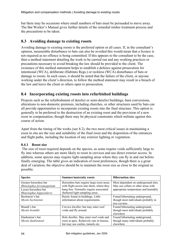but there may be occasions where small numbers of bats must be persuaded to move away. The Bat Worker's Manual gives further details of the remedial timber treatment process and the precautions to be taken.

## **8.3 Avoiding damage to existing roosts**

Avoiding damage to existing roosts is the preferred option in all cases. If, in the consultant's opinion, measurable disturbance to bats can also be avoided this would mean that a licence is not required as no offence is being committed. If this appears to the consultant to be the case, then a method statement detailing the work to be carried out and any working practices or precautions necessary to avoid breaking the law should be provided to the client. The existence of this method statement helps to establish a defence against prosecution for intentional (WCA), deliberate (Habitats Regs.) or reckless (WCA) disturbance of bats or damage to roosts. In such cases, it should be noted that the failure of the client, or anyone working under the client's direction, to follow the method statement may result in a breach of the law and leave the client or others open to prosecution.

## **8.4 Incorporating existing roosts into refurbished buildings**

Projects such as the refurbishment of derelict or semi-derelict buildings, barn conversions, alterations to non-domestic premises, including churches, or other structures used by bats can all provide opportunities to incorporate existing roosts into the final structure. This option is generally to be preferred to the destruction of an existing roost and the provision of a new roost in compensation, though there may be physical constraints which militate against this course of action.

Apart from the timing of the works (see 8.2), the two most critical issues in maintaining a roost in situ are the size and suitability of the final roost and the disposition of the entrances and flight paths, including the location of any exterior lighting or vegetation.

### **8.4.1 Roost size**

 The size of roost required depends on the species, as some require voids sufficiently large to fly into whereas others are more likely to roost in crevices and use direct exterior access. In addition, some species may require light-sampling areas where they can fly in and out before finally emerging. The table gives an indication of roost preferences, though there is a great deal of variation; the objective should be to maintain the roost size as close to the original as possible.

| <b>Species</b>            | <b>Summer/maternity roosts</b>            | <b>Hibernation sites</b>             |  |
|---------------------------|-------------------------------------------|--------------------------------------|--|
| Greater horseshoe bat     | Horseshoe bats require large roost areas  | Most dependent on underground sites. |  |
| Rhinolophus ferrumequinum | with flight access into them, where they  | May use cellars or other areas with  |  |
| Lesser horseshoe bat      | hang free. Normally require associated    | appropriate temperature and humidity |  |
| Rhinolophus hipposideros  | sheltered light-sampling areas.           |                                      |  |
| Bechstein's bat           | Rarely found in buildings. Little         | Found hibernating underground,       |  |
| Myotis bechsteinii        | information about requirements.           | though most individuals probably in  |  |
|                           |                                           | tree cavities                        |  |
| Brandt's bat              | Crevice dweller, but may enter roof       | Found hibernating underground,       |  |
| Mvotis brandtii           | voids and fly around                      | though most individuals probably     |  |
|                           |                                           | elsewhere                            |  |
| Daubenton's bat           | Hole dweller. May enter roof voids and    | Found hibernating underground,       |  |
| Myotis daubentonii        | roost at apex. Relatively rare in houses, | though many individuals probably     |  |
|                           | but may use castles, tunnels etc.         | elsewhere                            |  |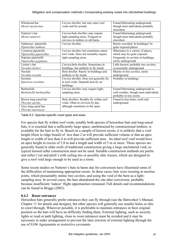| Whiskered bat             | Crevice dweller, but may enter roof     | Found hibernating underground,        |
|---------------------------|-----------------------------------------|---------------------------------------|
| Myotis mystacinus         | voids and fly around                    | though most individuals probably      |
|                           |                                         | elsewhere                             |
| Natterer's bat            | Crevice/hole dweller; may require       | Found hibernating underground,        |
| Myotis nattereri          | light-sampling areas. Frequent in       | though most individuals probably      |
|                           | crevices in timbers in old barns.       | elsewhere                             |
| Nathusius' pipistrelle    | Crevice dweller.                        | Rarely recorded. In buildings? In     |
| Pipistrellus nathusii     |                                         | quite exposed places                  |
| Common pipistrelle        | Crevice dweller, but sometimes enters   | Hibernates in a variety of places,    |
| Pipistrellus pipistrellus | roof voids. Does not normally require   | which may be quite exposed.           |
| Soprano pipistrelle       | light-sampling areas                    | Frequently in cavities in buildings,  |
|                           |                                         | rarely underground                    |
| Pipistrellus pygmaeus     |                                         |                                       |
| Leisler's bat             | Crevice/hole dweller. Sometimes in      | Little known; probably tree cavities, |
| Nyctalus leisleri         | buildings, but unlikely to fly inside.  | occasionally underground              |
| Noctule                   | Hole dweller. Rarely in buildings and   | Mainly in tree cavities, rarely       |
| Nyctalus noctula          | unlikely to fly inside.                 | underground                           |
| Serotine                  | Crevice dweller. Does not generally fly | Probably in buildings                 |
| Eptesicus serotinus       | in roof voids. Depends heavily on       |                                       |
|                           | buildings                               |                                       |
| <b>Barbastelle</b>        | Crevice dweller; may require light-     | Found hibernating underground in      |
| Barbastella barbastellus  | sampling areas.                         | cold weather, though most individuals |
|                           |                                         | probably in tree roosts               |
| Brown long-eared bat      | Hole dwellers. Readily fly within roof  | Found in tree holes, roofs and        |
| Plecotus auritus          | voids. Often in crevices by day,        | underground.                          |
| Grey long-eared bat       | although sometimes in the open.         |                                       |
| Plecotus austriacus       |                                         |                                       |

Table 8.2 Species-specific roost types and sizes.

For species that fly within roof voids, notably both species of horseshoe bats and long-eared bats, it is essential that a sufficiently large space, unobstructed by constructional timbers, is available for the bats to fly in. Based on a sample of known roosts, it is unlikely that a void height (floor to ridge board) of less than 2 m will provide sufficient volume or that an apex length or width of less than 4 m will provide sufficient area. An ideal roof void would have an apex height in excess of 2.8 m and a length and width of 5 m or more. These species are generally found in older roofs of traditional construction giving a large uncluttered void, so typical trussed rafter construction must not be used. Suitable construction methods are purlin and rafter ('cut and pitch') with ceiling ties or possibly attic trusses, which are designed to give a roof void large enough to be used as a room.

Some recent studies on Natterer's bats in barns due for conversion have illustrated some of the difficulties of maintaining appropriate roosts. In these cases, bats were roosting in mortise joints, which presumably mimic tree cavities, and using the void of the barn as a lightsampling area. In several cases, the bats abandoned the site after conversion, probably because insufficient 'indoor' flight opportunities remained. Full details and recommendations can be found in Briggs (2002).

### **8.4.2 Roost entrances**

Horseshoe bats generally prefer entrances they can fly through (see the Batworker's Manual, Chapter 11 for details and designs), but other species will generally use smaller holes or slits to crawl through. Wherever possible, it is preferable to maintain entrances in their original position so the bats will have no difficulty finding them. External lighting, such as security lights or road or path lighting, close to roost entrances must be avoided and it may be necessary to make arrangement to prevent the later erection of external lighting through the use of S106 Agreements or restrictive covenants.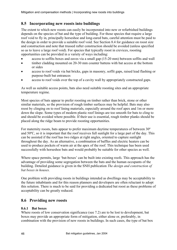## **8.5 Incorporating new roosts into buildings**

The extent to which new roosts can easily be incorporated into new or refurbished buildings depends on the species of bat and the type of building. For those species that require a large roof void to fly in, principally horseshoe and long-eared bats, careful attention must be paid to the design in order to provide a suitable roof void. See Section 8.4 for guidance on roost size and construction and note that trussed rafter construction should be avoided (unless specified so as to leave a large roof void). For species that typically roost in crevices, roosting opportunities can be provided in a variety of ways including:

- access to soffits boxes and eaves via a small gap (15-20 mm) between soffits and wall
- timber cladding mounted on 20-30 mm counter battens with bat access at the bottom or sides
- access to roof voids via bat bricks, gaps in masonry, soffit gaps, raised lead flashing or purpose-built bat entrances
- access to roof voids over the top of a cavity wall by appropriately constructed gaps.

As well as suitable access points, bats also need suitable roosting sites and an appropriate temperature regime.

Most species of bats appear to prefer roosting on timber rather than brick, stone or other similar materials, so the provision of rough timber surfaces may be helpful. Bats may also roost by clinging on to roof lining materials, especially around the roof apex and 1m or more down the slope. Some types of modern plastic roof linings are too smooth for bats to cling to and should be avoided where possible. If their use is essential, rough timber planks should be placed along the ridge beam to provide roosting opportunities.

For maternity roosts, bats appear to prefer maximum daytime temperatures of between 30º and 50ºC, so it is important that the roof receives full sunlight for a large part of the day. This can be assisted if the roof has two ridges at right angles, oriented to capture sunlight throughout the day. As an alternative, a combination of baffles and electric heaters can be used to produce pockets of warm air at the apex of the roof. This technique has been used successfully with horseshoe bats and would probably be suitable for other species as well.

Where space permits, large 'bat-boxes' can be built into existing roofs. This approach has the advantage of providing some segregation between the bats and the human occupants of the building. Detailed guidance is given in the SNH publication *The design and construction of bat boxes in houses.*

One problem with providing roosts in buildings intended as dwellings may be acceptability to the future inhabitants and for this reason planners and developers are often reluctant to adopt this solution. There is much to be said for providing a dedicated bat roost as these problems of acceptability can be greatly reduced.

## **8.6 Providing new roosts**

### **8.6.1 Bat boxes**

Where roosts of low conservation significance (see 7.2) are to be lost to development, bat boxes may provide an appropriate form of mitigation, either alone or, preferably, in combination with the provision of new roosts in buildings. In such cases, the type of bat box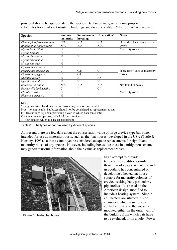| Species                                                         | Summer/<br>maternity | Summer/non<br>breeding | Hibernation*   | <b>Notes</b>                   |
|-----------------------------------------------------------------|----------------------|------------------------|----------------|--------------------------------|
| Rhinolophus ferrumequinum                                       | N/A                  | N/A                    | N/A            | Horseshoe bats do not use bat  |
| Rhinolophus hipposideros                                        | N/A                  | N/A                    | N/A            | boxes.                         |
| Myotis bechsteinii                                              | H                    | H                      |                | Maternity roosts               |
| Myotis brandtii                                                 | H                    | H                      |                |                                |
| Myotis daubentonii                                              | H                    | H                      |                |                                |
| Myotis mystacinus                                               | H                    | H                      |                |                                |
| Myotis nattereri                                                | H                    | 9                      |                |                                |
| Pipistrellus nathusii                                           | H                    | H                      |                |                                |
| Pipistrellus pipistrellus                                       | $\mathbf C$          | C/H                    | $\mathcal{C}$  | H are rarely used as maternity |
| Pipistrellus pygmaeus                                           | $\mathcal{C}$        | C/H                    | $\mathcal{C}$  | roosts.                        |
| Nyctalus leisleri                                               | H                    | H                      | H <sup>2</sup> |                                |
| Nyctalus noctula                                                | H                    | H                      | H              |                                |
| Eptesicus serotinus                                             | N/A                  | N/A                    | N/A            | Not found in boxes             |
| Barbastella barbastellus                                        | $\mathcal{C}$        | 9                      | $C$ ?          |                                |
| Plecotus auritus                                                | H                    | H                      |                | Maternity roosts               |
| Plecotus austriacus                                             | H                    | 9                      |                |                                |
|                                                                 |                      |                        |                |                                |
| Key                                                             |                      |                        |                |                                |
| *I arga well inculated bibernation boyes may be more successful |                      |                        |                |                                |

provided should be appropriate to the species. Bat boxes are generally inappropriate substitutes for significant roosts in buildings and do not constitute 'like for like' replacement.

Large well-insulated hibernation boxes may be more successful

N/A -not applicable; bat boxes should not be considered as replacement roosts

H – tree hollow-type box, providing a void in which bats can cluster

C – tree crevice-type box, with 25-35mm crevices

? – few data on which to base an assessment

Table 8.3 The types of bat box used by different species.

At present, there are few data about the conservation value of large crevice-type bat-boxes intended for use as maternity roosts, such as the 'bat houses' developed in the USA (Tuttle & Hensley, 1993), so these cannot yet be considered adequate replacements for significant maternity roosts of any species. However, including boxes like these in a mitigation scheme may generate useful information about their value as replacement roosts.



Figure 5. Heated bat boxes

In an attempt to provide temperature conditions similar to those in roof spaces, recent research in Scotland has concentrated on developing a heated bat house suitable for maternity colonies of crevice-seeking bats, particularly pipistrelles. It is based on the American design, modified to include a heating system. Simple coil heaters are situated in side chambers, which also house a control circuit, and the house is mounted either on the outer wall of the building from which bats have to be excluded, or on a pole. Power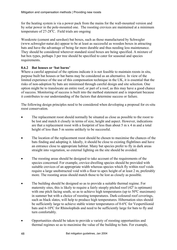for the heating system is via a power pack from the mains for the wall-mounted version and by solar power in the pole-mounted one. The roosting crevices are maintained at a minimum temperature of  $27-28$ °C. Field trials are ongoing

Woodcrete (cement and sawdust) bat boxes, such as those manufactured by Schwegler (www.schwegler-natur.de) appear to be at least as successful as wooden boxes in attracting bats and have the advantage of being far more durable and thus needing less maintenance. They should be considered wherever standard sized boxes are being specified. A mixture of bat box types, perhaps 3 per tree should be specified to cater for seasonal and species requirements.

### **8.6.2 Bat houses or 'bat barns'**

Where a careful appraisal of the options indicate it is not feasible to maintain roosts in situ, purpose built bat houses or bat barns may be considered as an alternative. In view of the limited experience of the use of this compensation technique in the UK, it is essential that the risks of non-adoption by bats are minimised through careful design and site selection. One option might be to translocate an entire roof, or part of a roof, as this may have a good chance of success. Monitoring of success is built into the method statement and is important because it contributes to our understanding of the factors that determine success or failure.

The following design principles need to be considered when developing a proposal for ex-situ roost conservation.

- The replacement roost should normally be situated as close as possible to the roost to be lost and match it closely in terms of size, height and aspect. However, indications are that a replacement roost with a footprint of less than about 5 m x 4 m and a total height of less than 5 m seems unlikely to be successful.
- The location of the replacement roost should be chosen to maximise the chances of the bats finding and adopting it. Ideally, it should be close to existing flightlines and have an entrance close to appropriate habitat. Many bat species prefer to fly in dark areas straight into vegetation, so external lighting on the site should be avoided.
- The roosting areas should be designed to take account of the requirements of the species concerned. For example, crevice-dwelling species should be provided with suitable crevices of an appropriate width whereas species which fly within roof voids require a large unobstructed void with a floor to apex height of at least 2 m, preferably more. The roosting areas should match those to be lost as closely as possible.
- The building should be designed so as to provide a suitable thermal regime. For maternity sites, this is likely to require a fairly steeply pitched roof  $(42^{\circ}$  is optimum) with one pitch facing south, so as to achieve high temperatures (up to 50<sup>o</sup>C maximum) in summer but with a choice of roosting temperatures. Dark-coloured roof coverings, such as black slates, will help to produce high temperatures. Hibernation sites should be sufficiently large to achieve stable winter temperatures of 0-6ºC for Vespertilionid bats and 6-10ºC for Rhinolophids and need to be sufficiently large for bats to fly and turn comfortably.
- Opportunities should be taken to provide a variety of roosting opportunities and thermal regimes so as to maximise the value of the building to bats. For example,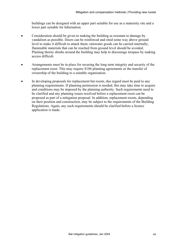buildings can be designed with an upper part suitable for use as a maternity site and a lower part suitable for hibernation.

- Consideration should be given to making the building as resistant to damage by vandalism as possible. Doors can be reinforced and sited some way above ground level to make it difficult to attack them; rainwater goods can be carried internally; flammable materials that can be reached from ground level should be avoided. Planting thorny shrubs around the building may help to discourage trespass by making access difficult.
- Arrangements must be in place for securing the long term integrity and security of the replacement roost. This may require S106 planning agreements or the transfer of ownership of the building to a suitable organisation.
- In developing proposals for replacement bat roosts, due regard must be paid to any planning requirements. If planning permission is needed, this may take time to acquire and conditions may be imposed by the planning authority. Such requirements need to be clarified and any planning issues resolved before a replacement roost can be proposed as part of a mitigation proposal. In addition, replacement roosts, depending on their position and construction, may be subject to the requirements of the Building Regulations. Again, any such requirements should be clarified before a licence application is made.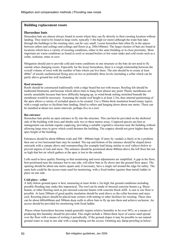#### **Building replacement roosts**

#### **Horseshoe bats**

Horseshoe bats are almost always found in roosts where they can fly directly to their roosting location without landing. They tend to be found in large roofs, typically 3-4m high (or more) although the route bats take through the buildings to the roosting sites, can be very small. Lesser horseshoe bats often fly in the spaces between rafters and ceilings and ceilings and floors (e.g. 280x100mm). The larger clusters of bats are found at locations which have a variety of roosting conditions, either in the same building or in close proximity. Most important are warm conditions as found in roofs or around boilers or hot water tanks and cold roosts such as a cellar, icehouse, mine or cave.

Mitigation should aim to provide cold and warm conditions in one structure so the bats do not need to fly outside when changing roosts. Especially for the lesser horseshoes, there is a rough relationship between the overall volume of roost with the number of bats which can live there. The aim should be to create at least 400m<sup>3</sup> of mostly unobstructed flying area on two or preferably three levels (including a cellar which can be partly above ground but well insulated).

#### **Roof structure**

Roofs should be constructed traditionally with a ridge board but not with trusses. Roofing felt should be traditional bitumastic and hessian which allows bats to hang from almost any point. Plastic membranes are mostly unsuitable because bats have difficulty hanging up, so wind-break netting stretched beneath the membrane would be necessary. Assuming the inside roof height is at least 2.5m, then internal partitioning of the apex allows a variety of secluded spaces to be created. Use a 50mm thick insulation board (many types), with a rough surface to facilitate bats landing, fitted to rafters and hanging down about one metre. These can be installed at about two metre intervals, perhaps five in a roof.

#### **Bat entrance**

Horseshoe bats prefer an open entrance to fly into the structure. This can best be provided on the sheltered side of the building with trees and shrubs only two or three metres away. Coppiced species are best as management can include regular coppicing, providing a suitable vegetative structure near the building without allowing large trees to grow which could threaten the building. The coppice should not grow higher than the apex height of the building.

Entrances should be about 600mm wide and 300 - 400mm high. If entry by vandals is likely to be a problem then one or two horizontal bars may be needed. The top and bottom of the entrance should be sloped down outwards with a canopy above and waterproofing (for example lead lining similar to roof valleys) below to prevent ingress of rain and snow. The entrance should be positioned about 400mm above the loft floor but not so high that hot air which gathers at the apex is lost to the outside.

Lofts need to have quality flooring so that monitoring and roost adjustments are simplified. A gap in the floor, best positioned near the entrance but to one side, will allow bats to fly down into the ground floor space. The opening should be about one metre square and, if necessary, have a single rail around the edge for safety. The same hole could be the access route used for monitoring, with a fixed timber (quieter than metal) ladder in place on one side.

#### **Cold place - cellar**

A fully below-ground space is best, measuring at least 4x4m x 2m high, but ground conditions including possible flooding may make this impractical. The roof can be made of stressed concrete beams e.g. Bison beams, or other flooring such as pre-stressed concrete beams with concrete block infill. A cast *in situ* floor is possible. At least 200mm of good quality insulation should be used above so the cellar becomes and stays cool. Roosting places should be placed near corners with netting or other facilities for roosting. These sites can be about 600x600mm and 300mm deep walls to allow bats to fly up into them and achieve seclusion. An access should be provided for monitoring with fixed ladder.

 Places where horseshoes become torpid generally require relative humidity to be over 90%, so a means of producing this humidity should be provided. This might include a 30mm thick layer of coarse sand spread over the floor with a means of wetting it periodically. If the ground slopes it may be possible to use natural ground water to seep in one side with a sump letting out the excess. Omitting any damp-proofing in below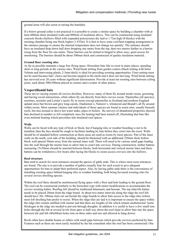ground areas will also assist in raising the humidity.

If a below-ground cellar is not practical it is possible to create a similar space by building a chamber with at least 600mm thick insulated walls and 800mm of insulation above. This can be constructed using insulated concrete blocks (hollows filled with expanded polystyrene) dry laid to 1.72m high (8 blocks) with the roosting chamber being one block higher (1.935m). It is best to have some cool/heat trapping arrangement in the entrance passage to ensure the internal temperature does not change too quickly. The entrance should have an insulated drop down half door dropping one metre from the top, then two metres further in a barrier rising from the floor for one metre. These barriers can be slotted or hinged to allow easy, quiet access for monitoring. The barriers should be about 300mm thick and constructed of quality insulation material.

#### **Ground floor roosting sites**

As far as possible maintain a large free flying space. Horseshoe bats like to roost in many places, spending short or long periods at the various sites. Wind break netting from garden centres (black netting with holes 5x8mm and intervening plastic 2-3mm thick) is ideal for providing roosting opportunities. Finer netting must not be used because bats' claws can become tangled in the mesh and it does not last long. Wind break netting has survived over 20 years without significant deterioration. Provide at least ten roosting sites between ceiling joists, each about 300x300mm placed in corners and a scatter of other places.

#### **Vespertilionid bats**

These are to varying extents all crevice dwellers. However, many of them fly around inside roosts, grooming and having social interactions, while others fly out directly from their crevice roosts. Pipistrelles (all species), serotines, noctules and Leisler's rarely fly in roosts (except pipistrelles in Scotland and northern England upland sites) but brown and grey long-eareds, Daubenton's, Natterer's, whiskered and Brandt's all fly around within roosts. Most summer clusters and individuals of these species are found in warm sites, usually beneath roofs, but also around or above hot water tanks, pipes or boilers. Re-surveys of abandoned properties showed bats declined in number or left completely once the heating had been turned off, illustrating that bats like even minimal heating which percolates into insulated roof spaces.

#### **Walls**

Walls can be faced with any type of brick or block, but if hanging tiles or weather boarding is not to be installed, then the face should be rough to facilitate landing by bats before they crawl into the roost. Walls should be of standard hollow construction as these areas are used as roosts by most species. Part of the inner walls on the north, cool side of the building, should be thickened with an additional 220mm thick hollow block wall spaced 30mm away from the normal inner wall. There will need to be various small gaps leading into the wall through the mortar lines to allow bats to crawl into crevices. During construction, timber battens measuring 15x50mm should be inserted between blocks, both horizontal and vertical mortar lines and these battens can be withdrawn a few hours after laying the blocks to create access crevices into the hollows.

#### **Roof structure**

Bats tend to search for roost entrances around the apexes of gable ends. This is where most roost entrances are found. The aim is to provide a number of gables (usually four for each roost) to give adequate opportunities for bats to adopt their preferred aspect. Also, by having gable ends there is the convenience of installing roosting space behind hanging tiles or weather boarding, both being favoured roosting sites for several crevice dwelling species.

Within the roof there should be unobstructed flying space with a floor and hole leading to the ground floor. The roof can be constructed similarly to the horseshoe type with minor modifications to accommodate the crevice roosting habits. Roofing felt should be traditional bitumastic and hessian. The top slate/tile batten needs to be placed 20mm from the ridge board. At about two metre intervals along the ridge the roof felt should have 30x 100mm slots cut out beside the ridge boards to allow bats access to the ridge tiles (where most loft dwelling bats prefer to roost). When the ridge tiles are laid it is important to ensure the space within the ridge tiles remain unfilled with mortar and that there are lengths of tile which remain unobstructed. Some blockages in the ridge are needed to prevent through draughts. In addition it is useful to have a few small torn holes through the felt at several levels from apex to half way down the roof slope to allow bats into the space between tile and felt (40x60mm holes torn on three sides and one end allowed to hang down).

Roofs often have double beams or rafters with small gaps between which provide crevices preferred by bats. Features such as these are most easily installed by the bat consultant after the roof has been constructed. One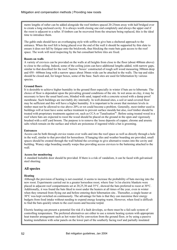metre lengths of rafter can be added alongside the roof timbers spaced 20-25mm away with half bridged over to create a long enclosed cavity. It is always worth closing one end completely and always the upper end if the roost is adjacent to a rafter. If timbers can be recovered from the structure being replaced, this is the ideal time to introduce them.

The gable ends should have an overhanging style with soffits to give bats a sheltered approach to the entrance. When the roof felt is being placed over the end of the wall it should be supported by thin slate to ensure it does not fall by fatigue onto the brickwork, thus blocking the route bats gain access to the roof space. The work will need inspecting by the bat consultant before tiles are fixed.

#### **Roosts on walls**

A variety of crevices can be provided on the walls at all heights from close to the floor (about 400mm above) to close to the ceiling. Indeed, some of the ceiling joists can have additional lengths added, with narrow gaps, similar to that described for the roof. Narrow 'boxes' constructed of rough soft wood measuring 300mm deep and 450 - 600mm long with a narrow space about 30mm wide can be attached to the walls. The top and sides should be closed and, for longer boxes, some of the base. Such sites are used for hibernation by various species.

#### **Ground floors**

It is desirable to achieve higher humidity in the ground floor especially in winter if bats are to hibernate. The choice of floor is dependent upon the prevailing ground conditions of the site. In wet areas on clay, it may be necessary to have the usual hard core, blinded with sand, topped with a concrete screed with a damp proof membrane. Such buildings are inevitably dry internally. In well-drained sites, a soil or sand covered floor may be sufficient and this will have a higher humidity. It is important to be aware that moisture levels in timber must not be allowed to rise above 20% or rot could become a problem. Generally, most timber used in buildings will at least have some surface treatment to prevent surface moulds but also, roof timber should be treated with proprietary treatments against rot, such as CCA or 'Tanalisation®'. Before using treated wood in a roof where bats are expected to roost the wood should be placed on the ground in the open and vigorously brushed with a stiff yard broom. The purpose is to remove the loose deposits of copper, chrome and arsenic salts which remain on the surface and which are poisonous if ingested while a bat is grooming.

#### **Entrances**

Access can be both through crevice routes over walls and into the roof space as well as directly through a hole in the wall, similar to that provided for horseshoes. If hanging tiles and weather boarding are provided, small spaces should be created through the wall behind the coverings to give alternative routes into the cavity and building. Waney edge boarding usually warps thus providing access crevices to the battening attached to the wall.

#### **Access for monitoring**

A standard lockable door should be provided. If there is a risk of vandalism, it can be faced with galvanised steel sheeting.

#### **All species**

#### **Heating**

Although the provision of heating is not essential, it seems to increase the probability of bats moving into the new roost. Experiments carried out in a greater horseshoe roost, where four 1x1m electric blankets were placed in adjacent roof compartments set at 20,25,30 and 35°C, showed the bats preferred to roost at 30°C. Additionally, it was found the bats liked to roost under the heaters at all times of the year, even in winter when they returned from flying out and before entering their hibernation site.. Thereafter, a single heater at 30°C was kept switched on continuously. The advantage for bats is that they can maximise their energy budgets from food intake without needing to expend energy keeping warm. However, when food is difficult to find the bats quickly return to the cool roosts and become torpid.

Electric heating can present a potential fire risk if a fault develops, so there must be a fail-safe system of controlling temperature. The preferred alternatives are either to use a remote heating system with appropriate heat transfer arrangement such as hot water fed by convection from the ground floor, or by using a passive heating installation with solar panels on the lower part of the southerly facing roof and partially insulated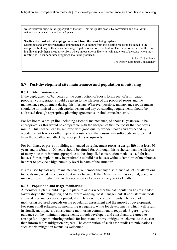water reservoir hung in the upper part of the roof. This set up also works by convection and should run without maintenance for at least 40 years.

**Seeding the roost with droppings recovered from the roost being replaced**  Droppings and any other materials impregnated with odours from the existing roost can be added to the completed building as these may encourage rapid colonisation. It is best to place these to one side of the roof in a line on polythene sheet, away from where an observer is likely to walk and clear of the apex where most roosting will occur and new droppings should be produced.

> Robert E. Stebbings The Robert Stebbings Consultancy

## **8.7 Post-development site maintenance and population monitoring**

#### **8.7.1 Site maintenance**

If the deployment of bat boxes or the construction of roosts forms part of a mitigation proposal, consideration should be given to the lifespan of the proposed roosts and the maintenance requirement during this lifespan. Wherever possible, maintenance requirements should be minimised through careful design and any outstanding requirements should be addressed through appropriate planning agreements or similar mechanisms.

For bat boxes, a design life, including essential maintenance, of about 10 years would be appropriate, as this would be comparable with the lifespan of the tree roosts that bat boxes mimic. This lifespan can be achieved with good quality wooden boxes and exceeded by woodcrete bat boxes or other types of construction that ensure any softwoods are protected from the weather and attack by woodpeckers or squirrels.

For buildings, or parts of buildings, intended as replacement roosts, a design life of at least 50 years and preferably 100 years should be aimed for. Although this is shorter than the lifespan of many houses, it is more appropriate to the simplified construction methods used for bat houses. For example, it may be preferable to build bat houses without damp-proof membranes in order to provide a high humidity level in parts of the structure.

If sites used by bats require maintenance, remember that any disturbance of bats or alterations to roosts may need to be carried out under licence. If the Defra licence has expired, personnel may require an English Nature licence in order to carry out any works legally.

### **8.7.2 Population and usage monitoring**

A monitoring plan should be put in place to assess whether the bat population has responded favourably to the mitigation, and to inform ongoing roost management. If consistent methods are used pre- and post-development, it will be easier to compare trends. The level of monitoring required depends on the population assessment and the impact of development. For some small schemes, no monitoring is required, while for developments which will result in significant impacts, a considerable monitoring commitment is required. Figure 4 gives guidance on the minimum requirements, though developers and consultants are urged to arrange for longer monitoring periods for important or novel mitigation schemes as these can then inform future mitigation projects. The contribution of such case studies to publications such as this mitigation manual is welcomed.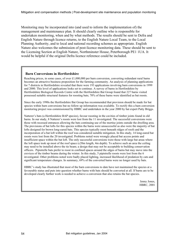Monitoring may be incorporated into (and used to inform the implementation of) the management and maintenance plan. It should clearly outline who is responsible for undertaken monitoring, when and by what methods. The results should be sent to Defra and English Nature through licence returns, to the English Nature Local Team, to the Local Planning Authority, and to local and national recording schemes as appropriate. English Nature also welcomes the submission of post-licence monitoring data. These should be sent to the Licensing Section at English Nature, Northminster House, Peterborough PE1 1UA. It would be helpful if the original Defra licence reference could be included.

#### **Barn Conversions in Hertfordshire**

Reaching prices, in some cases, of over £1,000,000 per barn conversion, converting redundant rural barns becomes an attractive business proposition for the farming community. An analysis of planning applications for 7 districts in Hertfordshire revealed that there were 193 applications involving barn conversions in 1999 and 2000. This level of applications looks set to continue. A survey of barns in Hertfordshire by Hertfordshire Biological Records Centre with the Hertfordshire Bat Group found that 227 barns visited possessed suitable structural features for roosting bats; 70% of these barns were identified as bat roosts.

Since the early 1990s the Hertfordshire Bat Group has recommended that provision should be made for bat species within barn conversions but no follow up information was available. To rectify this a barn conversion monitoring project was commissioned by HBRC and undertaken in the year 2000 by bat expert Patty Briggs.

Natterer's bats (a Hertfordshire BAP species), favour roosting in the cavities of timber joints found in old barns. In our study, 8 Natterer's roosts were lost from the 11 investigated. The successful conversions were those with recessed entrances allowing the bats continuing use of the mortise joints outside the dwelling area. The provisions of bat lofts for this species within the barns were unsuccessful as also were the majority of bat lofts designed for brown long-eared bats. This species typically roost beneath ridges of roofs and the incorporation of a bat loft within the roof was considered suitable mitigation. In this study, 14 long-eared bat roosts were lost from the 20 investigated. Problems noted were wrongly placed bat access points and insufficient space within the bat loft. The only successful conversions were those with large bat areas where the loft space took up most of the roof space (c20m length, 4m depth). To achieve such an area the ceiling may need to be installed above the tie beam; a design that may not be acceptable to building conservation officers. Pipistrelle bats prefer to roost in confined spaces around the edges of barns but may move into the crevices of the timber beams during the winter. In this study, 5 pipistrelle roosts were lost from the 6 investigated. Other problems noted were badly placed lighting, increased likelihood of predation by cats and significant temperature changes. In summary, 69% of the converted barns were no longer used by bats.

HBRC's study has illustrated that most of the barn conversions to date have not maintained the species at a favourable status and puts into question whether barns with bats should be converted at all. If barns are to be developed clearly further work is needed to achieve a conversion that also retains the bat species.

> Jenny Jones, HBRC, 2001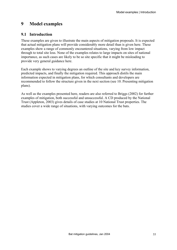# **9 Model examples**

## **9.1 Introduction**

These examples are given to illustrate the main aspects of mitigation proposals. It is expected that actual mitigation plans will provide considerably more detail than is given here. These examples show a range of commonly encountered situations, varying from low impact through to total site loss. None of the examples relates to large impacts on sites of national importance, as such cases are likely to be so site specific that it might be misleading to provide very general guidance here.

Each example shows to varying degrees an outline of the site and key survey information, predicted impacts, and finally the mitigation required. This approach distils the main information expected in mitigation plans, for which consultants and developers are recommended to follow the structure given in the next section (see 10. Presenting mitigation plans).

As well as the examples presented here, readers are also referred to Briggs (2002) for further examples of mitigation, both successful and unsuccessful. A CD produced by the National Trust (Appleton, 2003) gives details of case studies at 10 National Trust properties. The studies cover a wide range of situations, with varying outcomes for the bats.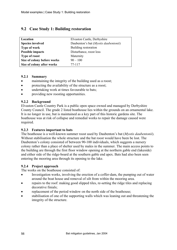| Location                    | Elvaston Castle, Derbyshire          |
|-----------------------------|--------------------------------------|
| <b>Species involved</b>     | Daubenton's bat (Myotis daubentonii) |
| <b>Type of work</b>         | Building restoration                 |
| <b>Possible impacts</b>     | Disturbance, roost loss              |
| <b>Type of roost</b>        | Maternity                            |
| Size of colony before works | $90 - 100$                           |
| Size of colony after works  | 77-117                               |

## **9.2 Case Study 1: Building restoration**

### **9.2.1 Summary**

- maintaining the integrity of the building used as a roost;
- protecting the availability of the structure as a roost;
- undertaking work at times favourable to bats;
- providing new roosting opportunities.

#### **9.2.2 Background**

Elvaston Castle Country Park is a public open space owned and managed by Derbyshire County Council. The grade 2 listed boathouse lies within the grounds on an ornamental lake. It is no longer in use, but is maintained as a key part of this historic gardens site. The boathouse was at risk of collapse and remedial works to repair the damage caused were required.

### **9.2.3 Features important to bats**

The boathouse is a well-known summer roost used by Daubenton's bat (*Myotis daubentonii*). Without stabilisation the whole structure and the bat roost would have been be lost. The Daubenton's colony consisted of between 90-100 individuals, which suggests a nursery colony rather than a place of shelter used by males in the summer. The main access points to the building are through the first floor window opening at the northern gable end (lakeside) and either side of the ridge-board at the southern gable end apex. Bats had also been seen entering the mooring area through its opening to the lake.

### **9.2.4 Project approach**

The works on the boathouse consisted of:

- Investigation works, involving the erection of a coffer-dam, the pumping out of water around the boat house and removal of silt from within the mooring area.
- repairs to the roof: making good slipped tiles, re-setting the ridge tiles and replacing decorative finials;
- replacement of the period window on the north side of the boathouse;
- stabilisation of one of the supporting walls which was leaning out and threatening the integrity of the structure.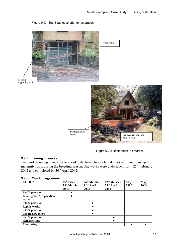

#### Figure 9.2.1 The Boathouse prior to restoration

Figure 9.2.2 Restoration in progress

### **9.2.5 Timing of works**

The work was staged in order to avoid disturbance to any female bats with young using the maternity roost during the breeding season. Site works were undertaken from  $25<sup>th</sup>$  February 2002 and completed by  $30<sup>th</sup>$  April 2002.

| 9.2.6                    | Work programme |        |
|--------------------------|----------------|--------|
| $\sqrt{1 + \frac{1}{2}}$ |                | o e th |

| <b>ACTION</b>             | $25th$ Feb -           | $26th March -$  | $\overline{12}^{\text{th}}$ March - | May  | May  |
|---------------------------|------------------------|-----------------|-------------------------------------|------|------|
|                           | 25 <sup>th</sup> March | $12^{th}$ April | $25th$ April                        | 2002 | 2003 |
|                           | 2002                   | 2002            | 2002                                |      |      |
| Site Supervision          |                        |                 |                                     |      |      |
| Investigative/preparation |                        |                 |                                     |      |      |
| works                     |                        |                 |                                     |      |      |
| Site Supervision          |                        |                 |                                     |      |      |
| <b>Repair works</b>       |                        |                 |                                     |      |      |
| Site Supervision          |                        |                 |                                     |      |      |
| <b>Create new roosts</b>  |                        |                 |                                     |      |      |
| Site Supervision          |                        |                 |                                     |      |      |
| <b>Reinstate Site</b>     |                        |                 |                                     |      |      |
| Monitoring                |                        |                 |                                     |      |      |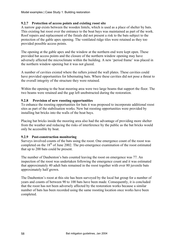### **9.2.7 Protection of access points and existing roost site**

A narrow gap exists between the wooden lintels, which is used as a place of shelter by bats. This existing bat roost over the entrance to the boat bays was maintained as part of the work. Roof repairs and replacement of the finials did not present a risk to the bats subject to the protection of the gable apex opening. The ventilated ridge tiles were retained as they too provided possible access points.

The opening at the gable apex and the window at the northern end were kept open. These provided bat access points and the closure of the northern window opening may have adversely affected the microclimate within the building. A new 'period frame' was placed in the northern window opening but it was not glazed.

A number of cavities existed where the rafters joined the wall plates. These cavities could have provided opportunities for hibernating bats. Where these cavities did not pose a threat to the overall integrity of the structure they were retained.

Within the opening to the boat mooring area were two large beams that support the floor. The two beams were retained and the gap left unobstructed during the restoration.

### **9.2.8 Provision of new roosting opportunities**

To enhance the roosting opportunities for bats it was proposed to incorporate additional roost sites as part of the stabilisation works. New bat roosting opportunities were provided by installing bat bricks into the walls of the boat bays.

Placing bat bricks inside the mooring area also had the advantage of providing more shelter from the weather and reducing the risks of interference by the public as the bat bricks would only be accessible by boat.

### **9.2.9 Post-construction monitoring**

Surveys involved counts of the bats using the roost. One emergence count of the roost was completed on the  $18<sup>th</sup>$  of June 2002. The pre-emergence examination of the roost estimated that up to 200 bats could be present.

The number of Daubenton's bats counted leaving the roost on emergence was 77. An inspection of the roost was undertaken following the emergence count and it was estimated that approximately 40 adult bats remained in the roost together with over 80 juvenile bats approximately half grown.

The Daubenton's roost at this site has been surveyed by the local bat group for a number of years and counts of between 90 to 100 bats have been made. Consequently, it is concluded that the roost has not been adversely affected by the restoration works because a similar number of bats has been recorded using the same roosting location once works have been completed.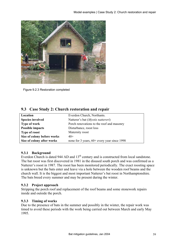

Figure 9.2.3 Restoration completed

## **9.3 Case Study 2: Church restoration and repair**

| Location                    | Everdon Church, Northants.                    |
|-----------------------------|-----------------------------------------------|
| <b>Species involved</b>     | Natterer's bat (Myotis nattereri)             |
| <b>Type of work</b>         | Porch renovations to the roof and masonry     |
| <b>Possible impacts</b>     | Disturbance, roost loss                       |
| <b>Type of roost</b>        | Maternity roost                               |
| Size of colony before works | $40+$                                         |
| Size of colony after works  | none for 3 years, $60+$ every year since 1998 |

### **9.3.1 Background**

Everdon Church is dated 944 AD and 13<sup>th</sup> century and is constructed from local sandstone. The bat roost was first discovered in 1981 in the disused south porch and was confirmed as a Natterer's roost in 1987. The roost has been monitored periodically. The exact roosting space is unknown but the bats enter and leave via a hole between the wooden roof beams and the church wall. It is the biggest and most important Natterer's bat roost in Northamptonshire. The bats breed every summer and may be present during the winter.

### **9.3.2 Project approach**

Stripping the porch roof and replacement of the roof beams and some stonework repairs inside and outside the porch.

### **9.3.3 Timing of works**

Due to the presence of bats in the summer and possibly in the winter, the repair work was timed to avoid these periods with the work being carried out between March and early May 1995.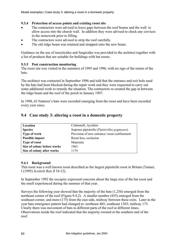### **9.3.4 Protection of access points and existing roost site**

- The contractors were advised to leave gaps between the roof beams and the wall to allow access into the church wall. In addition they were advised to check any crevices in the stonework prior to filling.
- The contractors were advised to strip the roof carefully.
- The old ridge beam was retained and strapped onto the new beam.

Guidance on the use of insecticides and fungicides was provided to the architect together with a list of products that are suitable for buildings with bat roosts.

### **9.3.5 Post construction monitoring**

The roost site was visited in the summers of 1995 and 1996, with no sign of the return of the bats.

The architect was contacted in September 1996 and told that the entrance and exit hole used by the bats had been blocked during the repair work and they were requested to carry out some additional work to remedy the situation. The contractors re-created the gap in between the ridge beam and the roof of the porch in January 1997.

In 1998, 63 Natterer's bats were recorded emerging from the roost and have been recorded every year since.

| Location                    | Colmonell, Ayrshire                         |
|-----------------------------|---------------------------------------------|
| <b>Species</b>              | Soprano pipistrelle (Pipistrellus pygmaeus) |
| Type of work                | Provision of new entrance/roost confinement |
| Possible impact             | Roost loss, exclusion                       |
| <b>Type of roost</b>        | Maternity                                   |
| Size of colony before works | 1963                                        |
| Size of colony after works  | 1174                                        |

## **9.4 Case study 3: altering a roost in a domestic property**

#### **9.4.1 Background**

This roost was a well known roost described as the largest pipistrelle roost in Britain (Tanner, I (1995) *Scottish Bats* **3** 10-12).

In September 1992 the occupier expressed concerns about the large size of the bat roost and the smell experienced during the summer of that year.

Surveys the following year showed that the majority of the bats (1,256) emerged from the northeast corner of the roof (Figure 9.4.2). A smaller number (455) emerged from the southeast corner, and more (175) from the east side, midway between these exits. Later in the year bats emergence pattern had changed to: northeast 485; southeast 1303; midway 175. Clearly there was movement of bats to different parts of the roof at different times. Observations inside the roof indicated that the majority roosted at the southern end of the roof.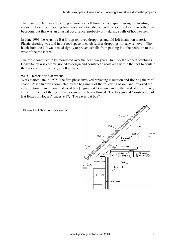The main problem was the strong ammonia smell from the roof space during the roosting season. Noise from roosting bats was also noticeable when they occupied a site over the main bedroom, but this was an unusual occurrence, probably only during spells of hot weather.

In June 1993 the Ayrshire Bat Group removed droppings and old loft insulation material. Plastic sheeting was laid in the roof space to catch further droppings for easy removal. The hatch from the loft was sealed tightly to prevent smells from passing into the bedroom to the west of the roost area.

The roost continued to be monitored over the next two years. In 1995 the Robert Stebbings Consultancy was commissioned to design and construct a roost area within the roof to contain the bats and eliminate any smell nuisance.

#### **9.4.2 Description of works**

Work started late in 1995. The first phase involved replacing insulation and flooring the roof space. Phase two was completed by the beginning of the following March and involved the construction of an internal bat roost box (Figure 9.4.1) around and to the west of the chimney at the north end of the roof. The design of the box followed "The Design and Construction of Bat Boxes in Houses" pages 8-17, "The eaves bat box".



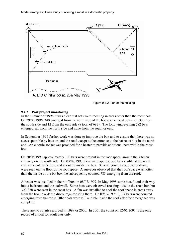

Figure 9.4.2 Plan of the building

### **9.4.3 Post project monitoring**

In the summer of 1996 it was clear that bats were roosting in areas other than the roost box. On 29/05/1996, 340 emerged from the north side of the house (the roost box end), 330 from the south side and 12 from the east side (a total of 682). The following evening 782 bats emerged, all from the north side and none from the south or east.

In September 1996 further work was done to improve the box and to ensure that there was no access possible by bats around the roof except at the entrance to the bat roost box in the north end. An electric socket was provided for a heater to provide additional heat within the roost box.

On 20/05/1997 approximately 100 bats were present in the roof space, around the kitchen chimney on the south side. On 03/07/1997 there were approx. 300 bats visible at the north end, adjacent to the box, and about 30 inside the box. Several young bats, dead or dying, were seen on the floor of the roof space. A surveyor observed that the roof space was hotter than the inside of the bat box; he subsequently counted 783 emerging from the roof.

A heater was installed in the roof box on 08/07/1997. In May 1998 some bats found their way into a bedroom and the stairwell. Some bats were observed roosting outside the roost box but 300-350 were seen in the roost box. A fan was installed to cool the roof space in areas away from the box in order to discourage roosting there. On 09/07/1998 1,174 bats were counted emerging from the roost. Other bats were still audible inside the roof after the emergence was complete.

There are no counts recorded in 1999 or 2000. In 2001 the count on 12/06/2001 is the only record of a total for adult bats only.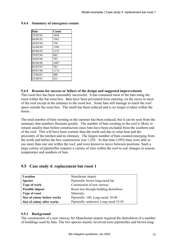| <b>Date</b> | Count |
|-------------|-------|
| 25/05/93    | 1898  |
| 08/06/93    | 1963  |
| 26/05/94    | 750   |
| 16/06/94    | 1589  |
| 09/06/95    | 1275  |
| 29/05/96    | 682   |
| 30/05/96    | 782   |
| 06/06/96    | 1007  |
| 03/07/97    | 783   |
| 09/07/98    | 1174  |
| 12/06/01    | 480   |
| 22/08/01    | 623   |

#### **9.4.4 Summary of emergence counts**

#### **9.4.5 Reasons for success or failure of the design and suggested improvements**

This roost box has been reasonably successful. It has contained most of the bats using the roost within the bat roost box. Bats have been prevented from entering via the eaves in most of the roof except at the entrance to the roost box. Some bats still manage to reach the roof space outside the roost box. The smell has been reduced and is no longer evident within the house.

The total number of bats roosting in the summer has been reduced, but it can be seen from the summary that numbers fluctuate greatly. The number of bats roosting in the roof is likely to remain smaller than before construction since bats have been excluded from the southern end of the roof. This will have been warmer than the north end due to solar heat and the proximity of the kitchen and its chimney. The largest number of bats counted emerging from the north end before the box construction was 1,256. At that time (1993) bats were able to use more than one site within the roof, and were known to move between positions. Such a large colony of pipistrelles requires a variety of sites within the roof to suit changes in season, temperature and numbers of bats.

| Location                    | Manchester airport                     |
|-----------------------------|----------------------------------------|
| <b>Species</b>              | Pipistrelle, brown long-eared bat      |
| Type of work                | Construction of new runway             |
| Possible impact             | Roost loss through building demolition |
| <b>Type of roost</b>        | Maternity                              |
| Size of colony before works | Pipistrelle: 100; Long-eared: 30-40    |
| Size of colony after works  | Pipistrelle: unknown; Long-eared 35-45 |

### **9.5 Case study 4: replacement bat roost 1**

#### **9.5.1 Background**

The construction of a new runway for Manchester airport required the demolition of a number of buildings used by bats. The two species mainly involved were pipistrelles and brown long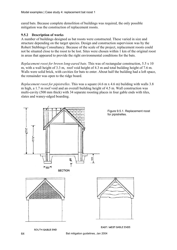eared bats. Because complete demolition of buildings was required, the only possible mitigation was the construction of replacement roosts.

### **9.5.2 Description of works**

A number of buildings designed as bat roosts were constructed. These varied in size and structure depending on the target species. Design and construction supervision was by the Robert Stebbings Consultancy. Because of the scale of the project, replacement roosts could not be situated close to the roost to be lost. Sites were chosen within 1 km of the original roost in areas that appeared to provide the right environmental conditions for the bats.

*Replacement roost for brown long-eared bats*. This was of rectangular construction, 5.5 x 10 m, with a wall height of 3.3 m, roof void height of 4.3 m and total building height of 7.6 m. Walls were solid brick, with cavities for bats to enter. About half the building had a loft space, the remainder was open to the ridge board.

*Replacement roost for pipistrelles*. This was a square (4.6 m x 4.6 m) building with walls 3.8 m high, a 1.7 m roof void and an overall building height of 4.5 m. Wall construction was multi-cavity (500 mm thick) with 34 separate roosting places in four gable ends with tiles, slates and waney-edged boarding.



SOUTH GABLE END

EAST / WEST GABLE ENDS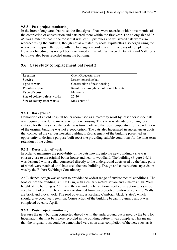### **9.5.3 Post-project monitoring**

In the brown long-eared bat roost, the first signs of bats were recorded within two months of the completion of construction and bats bred there within the first year. The colony size of 35- 45 was similar to that in the roost that was lost. Pipistrelles and whiskered bats were also recorded using the building, though not as a maternity roost. Pipistrelles also began using the replacement pipistrelle roost, with the first signs recorded within five days of completion. However breeding has not yet been confirmed at this site. Whiskered, Brandt's and Natterer's bats have also been recorded using the building.

### **9.6 Case study 5: replacement bat roost 2**

| Location                    | Over, Gloucestershire                     |
|-----------------------------|-------------------------------------------|
| <b>Species</b>              | Lesser horseshoe bat                      |
| Type of work                | Construction of new housing               |
| Possible impact             | Roost loss through demolition of hospital |
| <b>Type of roost</b>        | Maternity                                 |
| Size of colony before works | 27-30                                     |
| Size of colony after works  | Max count 43                              |

#### **9.6.1 Background**

Demolition of an old hospital boiler room used as a maternity roost by lesser horseshoe bats was required in order to make way for new housing. The site was already becoming less suitable for the bats since the boiler was turned off and the roost temperature fell, so retention of the original building was not a good option. The bats also hibernated in subterranean ducts that connected the various hospital buildings. Replacement of the building presented an opportunity to design a purpose-built roost site providing suitable conditions for the long-term retention of the colony.

#### **9.6.2 Description of work**

In order to maximise the probability of the bats moving into the new building a site was chosen close to the original boiler house and near to woodland. The building (Figure 9.6.1) was designed with a cellar connected directly to the underground ducts used by the bats, parts of which were retained until bats used the new building. Design and construction supervision was by the Robert Stebbings Consultancy.

An L-shaped design was chosen to provide the widest range of environmental conditions. The footprint of the building is 8.5 x 12 m, with a cellar 5 metres square and 2 metres high. Wall height of the building is 2.5 m and the cut and pitch traditional roof construction gives a roof void height of 3.5 m. The cellar is constructed from waterproofed reinforced concrete. Walls are brick and block work. The roof covering is Redland Cambrian black 'slates', which should give good heat retention. Construction of the building began in January and it was completed by early April.

#### **9.6.3 Post-project monitoring**

Because the new building connected directly with the underground ducts used by the bats for hibernation, the first bats were recorded in the building before it was complete. This meant that the original roost could be demolished very soon after completion of the new roost as it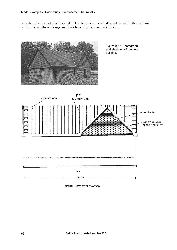was clear that the bats had located it. The bats were recorded breeding within the roof void within 1 year. Brown long-eared bats have also been recorded there.



SOUTH - WEST ELEVATION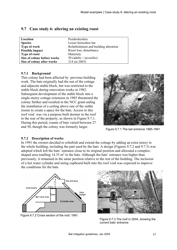| Location                    | Pembrokeshire                         |
|-----------------------------|---------------------------------------|
| <b>Species</b>              | Lesser horseshoe bat                  |
| <b>Type of work</b>         | Refurbishment and building alteration |
| Possible impact             | Roost loss, disturbance               |
| <b>Type of roost</b>        | Maternity                             |
| Size of colony before works | 50 (adults + juveniles)               |
| Size of colony after works  | 214 (in 2003)                         |

### **9.7 Case study 6: altering an existing roost**

#### **9.7.1 Background**

This colony had been affected by previous building work. The bats originally had the run of the cottage and adjacent stable block, but was restricted to the stable block during renovation works in 1982. Subsequent development of the stable block into a single-storey cottage extension in 1985 threatened the colony further and resulted in the NCC grant-aiding the installation of a ceiling above one of the stable rooms to create a space for the bats. Access to this roof void was via a purpose built dormer in the roof to the rear of the property, as shown in Figure 9.7.1. During this period, counts of bats varied between 27 and 50, though the colony was formerly larger.



Figure 9.7.1 The bat entrance 1985-1991

#### **9.7.2 Description of works**

In 1991 the owners decided to refurbish and extend the cottage by adding an extra storey to the whole building, including the part used by the bats. A design (Figures 9.7.2 and 9.7.3) was adopted which left the bats' entrance close to its original position and allocated a complexshaped area totalling  $14.35 \text{ m}^3$  to the bats. Although the bats' entrance was higher than previously, it remained in the same position relative to the rest of the building. The inclusion of a hot water cylinder and airing cupboard built into the roof void was expected to improve the conditions for the bats.



Figure 9.7.2 Cross section of the roof, 1991.



Figure 9.7.3 The roof in 2004, showing the current bats' entrance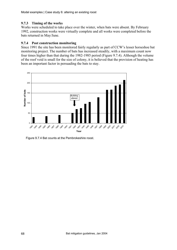Model examples | Case study 6: altering an existing roost

### **9.7.3 Timing of the works**

Works were scheduled to take place over the winter, when bats were absent. By February 1992, construction works were virtually complete and all works were completed before the bats returned in May/June.

### **9.7.4 Post construction monitoring**

Since 1991 the site has been monitored fairly regularly as part of CCW's lesser horseshoe bat monitoring project. The number of bats has increased steadily, with a maximum count now four times higher than that during the 1982-1985 period (Figure 9.7.4). Although the volume of the roof void is small for the size of colony, it is believed that the provision of heating has been an important factor in persuading the bats to stay.



Figure 9.7.4 Bat counts at the Pembrokeshire roost.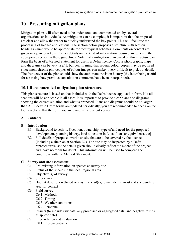# **10 Presenting mitigation plans**

Mitigation plans will often need to be understood, and commented on, by several organisations or individuals. As mitigation can be complex, it is important that the proposals are clear and allow the reader to quickly understand the key points. This will facilitate the processing of licence applications. The section below proposes a structure with section headings which would be appropriate for most typical schemes. Comments on content are given in square brackets. Further details on the kind of information required are given in the appropriate section in these guidelines. Note that a mitigation plan based on this structure can form the basis of a Method Statement for use in a Defra licence. Colour photographs, maps and diagrams can be very useful, but bear in mind that several colour copies may be required since monochrome photocopies of colour images can make it very difficult to pick out detail. The front cover of the plan should show the author and revision history (the latter being useful for assessing how previous consultation comments have been incorporated).

## **10.1 Recommended mitigation plan structure**

This plan structure is based on that included with the Defra licence application form. Not all sections will be applicable in all cases. It is important to provide clear plans and diagrams showing the current situation and what is proposed. Plans and diagrams should be no larger than A3. Because Defra forms are updated periodically, you are recommended to check on the Defra website that the form you are using is the current version.

### **A Contents**

### **B Introduction**

- B1 Background to activity [location, ownership, type of and need for the proposed development, planning history, land allocation in Local Plan (or equivalent), etc]
- B2 Full details of proposed works on site that are to be covered by the licence (including a site plan at Section E7). The site may be inspected by a Defra representative, so the details given should clearly reflect the extent of the project and leave no room for doubt. This information will be used to compare site conditions with the Method Statement.

### **C Survey and site assessment**

- C1 Pre-existing information on species at survey site
- C2 Status of the species in the local/regional area
- C3 Objective(s) of survey
- C4 Survey area
- C5 Habitat description [based on daytime visit(s); to include the roost and surrounding area for context]
- C6 Field survey
	- C6.1 Methods
	- C6.2 Timing
	- C6.3 Weather conditions
	- C6.4 Personnel
- C7 Results (to include raw data, any processed or aggregated data, and negative results as appropriate)
- C8 Interpretation and evaluation
	- C8.1 Presence/absence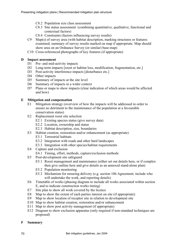- C8.2 Population size class assessment
- C8.3 Site status assessment (combining quantitative, qualitative, functional and contextual factors)
- C8.4 Constraints (factors influencing survey results)
- C9 Map(s) of survey area (with habitat description, marking structures or features examined; summary of survey results marked on map if appropriate. Map should show area on an Ordnance Survey (or similar) base-map)
- C10 Cross-referenced photographs of key features (if appropriate)

#### **D Impact assessment**

- D1 Pre- and mid-activity impacts
- D2 Long-term impacts [roost or habitat loss, modification, fragmentation, etc.]
- D3 Post-activity interference impacts [disturbance etc.]
- D<sub>4</sub> Other impacts
- D5 Summary of impacts at the site level
- D6 Summary of impacts in a wider context
- D7 Plans or maps to show impacts (clear indication of which areas would be affected and how)

#### **E Mitigation and compensation**

- E1 Mitigation strategy (overview of how the impacts will be addressed in order to ensure no detriment to the maintenance of the population at a favourable conservation status)
- E2 Replacement roost site selection
	- E2.1 Existing species status (give survey data)
	- E2.2 Location, ownership and status
	- E2.3 Habitat description, size, boundaries
- E3 Habitat creation, restoration and/or enhancement (as appropriate)
	- E3.1 Terrestrial habitats
	- E3.2 Integration with roads and other hard landscapes
	- E3.3 Integration with other species/habitat requirements
- E4 Capture and exclusion
	- E4.1 Timing, effort, methods, capture/exclusion methods
- E5 Post-development site safeguard
	- E5.1 Roost management and maintenance (either set out details here, or if complex then give outline here and give details as an annexed stand-alone plan)
	- E5.2 Population monitoring
	- E5.3 Mechanism for ensuring delivery (e.g. section 106 Agreement; include who will undertake the work, and reporting details)
- E6 Timetable of works (phasing diagram to include all works associated within section E, and to indicate construction works timing)
- E7 Site plan to show all work covered by the licence
- E8 Map to show the extent of each parties interest on site (if appropriate)
- E9 Map to show location of receptor site in relation to development site
- E10 Map to show habitat creation, restoration and/or enhancement
- E11 Map to show post activity management (if appropriate)
- E12 Diagram to show exclusion apparatus (only required if non-standard techniques are proposed)

### **F Summary**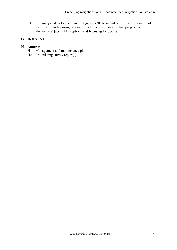F1 Summary of development and mitigation (NB to include overall consideration of the three main licensing criteria: effect on conservation status, purpose, and alternatives) [see 2.2 Exceptions and licensing for details]

### **G References**

#### **H Annexes**

- H1 Management and maintenance plan
- H<sub>2</sub> Pre-existing survey report(s)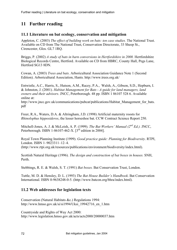# **11 Further reading**

#### **11.1 Literature on bat ecology, conservation and mitigation**

Appleton, C. (2003) *The effect of building work on bats: ten case studies.* The National Trust. Available on CD from The National Trust, Conservation Directorate, 33 Sheep St., Cirencester, Glos. GL7 1RQ.

Briggs, P. (2002) *A study of bats in barn conversions in Hertfordshire in 2000.* Hertfordshire Biological Records Centre, Hertford. Available on CD from HBRC, County Hall, Pegs Lane, Hertford SG13 8DN.

Cowan, A. (2003) *Trees and bats*. Arboricultural Association Guidance Note 1 (Second Edition). Arboricultural Association, Hants. http://www.trees.org.uk/

Entwistle, A.C., Harris, S., Hutson, A.M., Racey, P.A., Walsh, A., Gibson, S.D., Hepburn, I. & Johnston, J. (2001). *Habitat Management for Bats - A guide for land managers, land owners and their advisors*. JNCC, Peterborough. 48 pp. ISBN 1 86107 528 6. Available online at:

http://www.jncc.gov.uk/communications/pubcat/publications/Habitat\_Management\_for\_bats. pdf

Freer, R.A., Waters, D.A. & Altringham, J.D. (1998) Artificial maternity roosts for *Rhinolophus hipposideros*, the lesser horseshoe bat. CCW Contract Science Report 250.

Mitchell-Jones, A. J. & McLeish, A. P. (1999). *The Bat Workers' Manual (2nd Ed.).* JNCC, Peterborough. ISBN 1-86107-462-X.  $[3^{rd}$  edition in 2004].

Royal Town Planning Institute (1999). *Good practice guide: Planning for Biodiversity*. RTPI, London. ISBN 1–9023311–12–4. (http://www.rtpi.org.uk/resources/publications/environment/biodiversity/index.html).

Scottish Natural Heritage (1996). *The design and construction of bat boxes in houses.* SNH,

Stebbings, R. E. & Walsh, S. T. (1991) *Bat boxes.* Bat Conservation Trust, London.

Tuttle, M. D. & Hensley, D. L. (1993) *The Bat House Builder's Handbook*. Bat Conservation International. ISBN 0-9638248-0-5. (http://www.batcon.org/bhra/index.html).

### **11.2 Web addresses for legislation texts**

Conservation (Natural Habitats &c.) Regulations 1994: http://www.hmso.gov.uk/si/si1994/Uksi\_19942716\_en\_1.htm

Countryside and Rights of Way Act 2000: http://www.legislation.hmso.gov.uk/acts/acts2000/20000037.htm

Perth.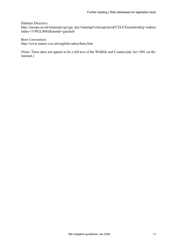Habitats Directive:

http://europa.eu.int/smartapi/cgi/sga\_doc?smartapi!celexapi!prod!CELEXnumdoc&lg=en&nu mdoc=31992L0043&model=guichett

Bern Convention: http://www.nature.coe.int/english/cadres/bern.htm

(Note: There does not appear to be a full text of the Wildlife and Countryside Act 1981 on the internet.)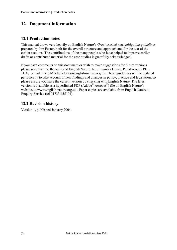## **12 Document information**

### **12.1 Production notes**

This manual draws very heavily on English Nature's *Great crested newt mitigation guidelines* prepared by Jim Foster, both for the overall structure and approach and for the text of the earlier sections. The contributions of the many people who have helped to improve earlier drafts or contributed material for the case studies is gratefully acknowledged.

If you have comments on this document or wish to make suggestions for future versions please send them to the author at English Nature, Northminster House, Peterborough PE1 1UA, e-mail: Tony.Mitchell-Jones@english-nature.org.uk. These guidelines will be updated periodically to take account of new findings and changes in policy, practice and legislation, so please ensure you have the current version by checking with English Nature. The latest version is available as a hyperlinked PDF (Adobe® Acrobat®) file on English Nature's website, at www.english-nature.org.uk . Paper copies are available from English Nature's Enquiry Service (tel 01733 455101).

### **12.2 Revision history**

Version 1, published January 2004.